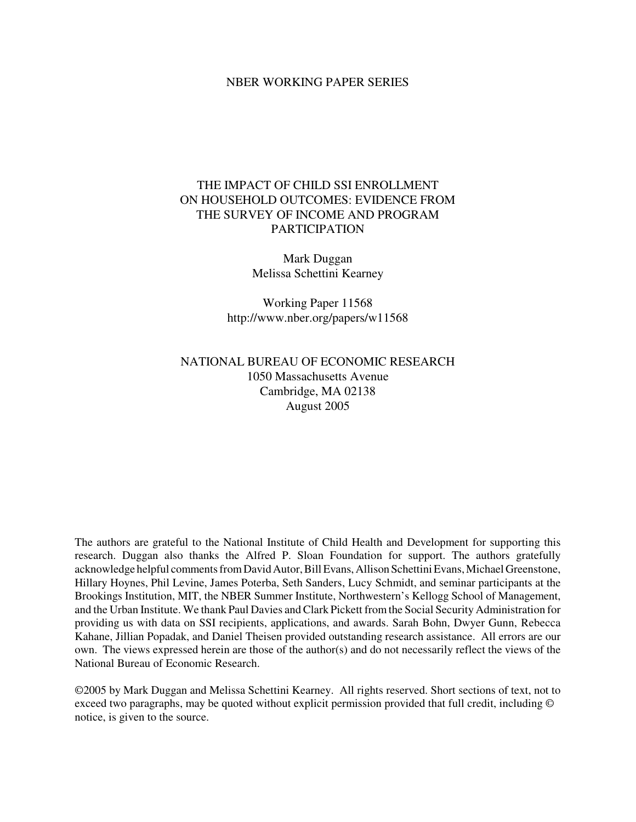# NBER WORKING PAPER SERIES

# THE IMPACT OF CHILD SSI ENROLLMENT ON HOUSEHOLD OUTCOMES: EVIDENCE FROM THE SURVEY OF INCOME AND PROGRAM PARTICIPATION

Mark Duggan Melissa Schettini Kearney

Working Paper 11568 http://www.nber.org/papers/w11568

# NATIONAL BUREAU OF ECONOMIC RESEARCH 1050 Massachusetts Avenue Cambridge, MA 02138 August 2005

The authors are grateful to the National Institute of Child Health and Development for supporting this research. Duggan also thanks the Alfred P. Sloan Foundation for support. The authors gratefully acknowledge helpful comments from David Autor, Bill Evans, Allison Schettini Evans, Michael Greenstone, Hillary Hoynes, Phil Levine, James Poterba, Seth Sanders, Lucy Schmidt, and seminar participants at the Brookings Institution, MIT, the NBER Summer Institute, Northwestern's Kellogg School of Management, and the Urban Institute. We thank Paul Davies and Clark Pickett from the Social Security Administration for providing us with data on SSI recipients, applications, and awards. Sarah Bohn, Dwyer Gunn, Rebecca Kahane, Jillian Popadak, and Daniel Theisen provided outstanding research assistance. All errors are our own. The views expressed herein are those of the author(s) and do not necessarily reflect the views of the National Bureau of Economic Research.

©2005 by Mark Duggan and Melissa Schettini Kearney. All rights reserved. Short sections of text, not to exceed two paragraphs, may be quoted without explicit permission provided that full credit, including © notice, is given to the source.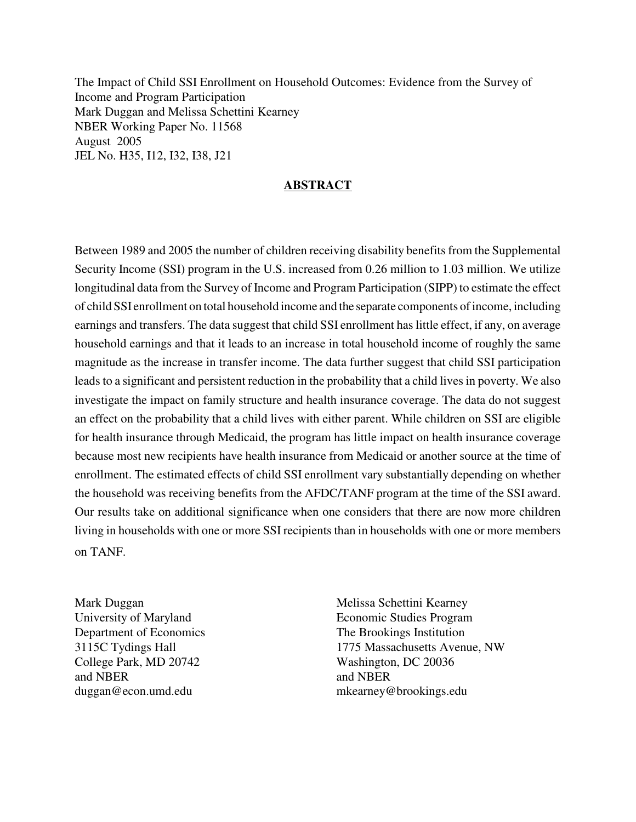The Impact of Child SSI Enrollment on Household Outcomes: Evidence from the Survey of Income and Program Participation Mark Duggan and Melissa Schettini Kearney NBER Working Paper No. 11568 August 2005 JEL No. H35, I12, I32, I38, J21

# **ABSTRACT**

Between 1989 and 2005 the number of children receiving disability benefits from the Supplemental Security Income (SSI) program in the U.S. increased from 0.26 million to 1.03 million. We utilize longitudinal data from the Survey of Income and Program Participation (SIPP) to estimate the effect of child SSI enrollment on total household income and the separate components ofincome, including earnings and transfers. The data suggest that child SSI enrollment has little effect, if any, on average household earnings and that it leads to an increase in total household income of roughly the same magnitude as the increase in transfer income. The data further suggest that child SSI participation leads to a significant and persistent reduction in the probability that a child lives in poverty. We also investigate the impact on family structure and health insurance coverage. The data do not suggest an effect on the probability that a child lives with either parent. While children on SSI are eligible for health insurance through Medicaid, the program has little impact on health insurance coverage because most new recipients have health insurance from Medicaid or another source at the time of enrollment. The estimated effects of child SSI enrollment vary substantially depending on whether the household was receiving benefits from the AFDC/TANF program at the time of the SSI award. Our results take on additional significance when one considers that there are now more children living in households with one or more SSI recipients than in households with one or more members on TANF.

Mark Duggan University of Maryland Department of Economics 3115C Tydings Hall College Park, MD 20742 and NBER duggan@econ.umd.edu

Melissa Schettini Kearney Economic Studies Program The Brookings Institution 1775 Massachusetts Avenue, NW Washington, DC 20036 and NBER mkearney@brookings.edu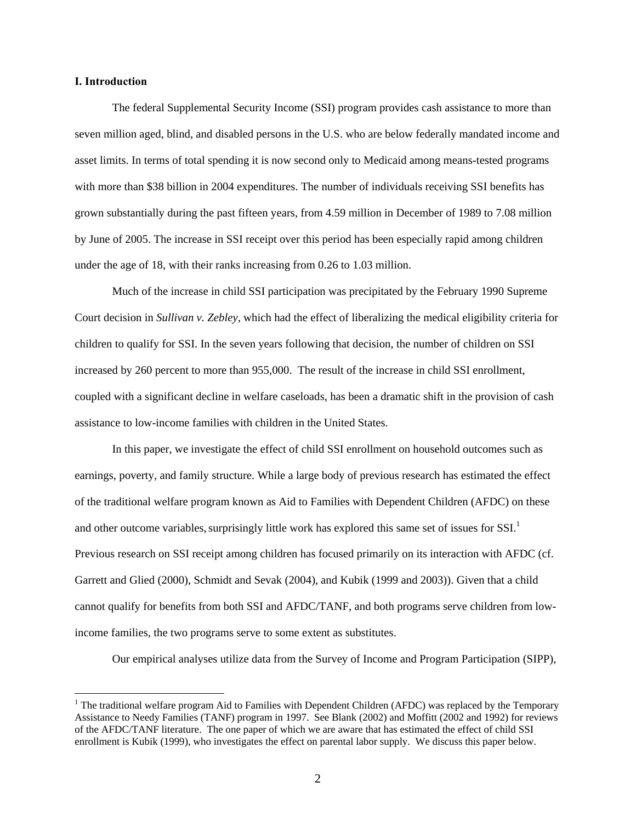#### **I. Introduction**

 $\overline{a}$ 

The federal Supplemental Security Income (SSI) program provides cash assistance to more than seven million aged, blind, and disabled persons in the U.S. who are below federally mandated income and asset limits. In terms of total spending it is now second only to Medicaid among means-tested programs with more than \$38 billion in 2004 expenditures. The number of individuals receiving SSI benefits has grown substantially during the past fifteen years, from 4.59 million in December of 1989 to 7.08 million by June of 2005. The increase in SSI receipt over this period has been especially rapid among children under the age of 18, with their ranks increasing from 0.26 to 1.03 million.

Much of the increase in child SSI participation was precipitated by the February 1990 Supreme Court decision in *Sullivan v. Zebley*, which had the effect of liberalizing the medical eligibility criteria for children to qualify for SSI. In the seven years following that decision, the number of children on SSI increased by 260 percent to more than 955,000. The result of the increase in child SSI enrollment, coupled with a significant decline in welfare caseloads, has been a dramatic shift in the provision of cash assistance to low-income families with children in the United States.

In this paper, we investigate the effect of child SSI enrollment on household outcomes such as earnings, poverty, and family structure. While a large body of previous research has estimated the effect of the traditional welfare program known as Aid to Families with Dependent Children (AFDC) on these and other outcome variables, surprisingly little work has explored this same set of issues for  $SSI$ .<sup>1</sup> Previous research on SSI receipt among children has focused primarily on its interaction with AFDC (cf. Garrett and Glied (2000), Schmidt and Sevak (2004), and Kubik (1999 and 2003)). Given that a child cannot qualify for benefits from both SSI and AFDC/TANF, and both programs serve children from lowincome families, the two programs serve to some extent as substitutes.

Our empirical analyses utilize data from the Survey of Income and Program Participation (SIPP),

<sup>&</sup>lt;sup>1</sup> The traditional welfare program Aid to Families with Dependent Children (AFDC) was replaced by the Temporary Assistance to Needy Families (TANF) program in 1997. See Blank (2002) and Moffitt (2002 and 1992) for reviews of the AFDC/TANF literature. The one paper of which we are aware that has estimated the effect of child SSI enrollment is Kubik (1999), who investigates the effect on parental labor supply. We discuss this paper below.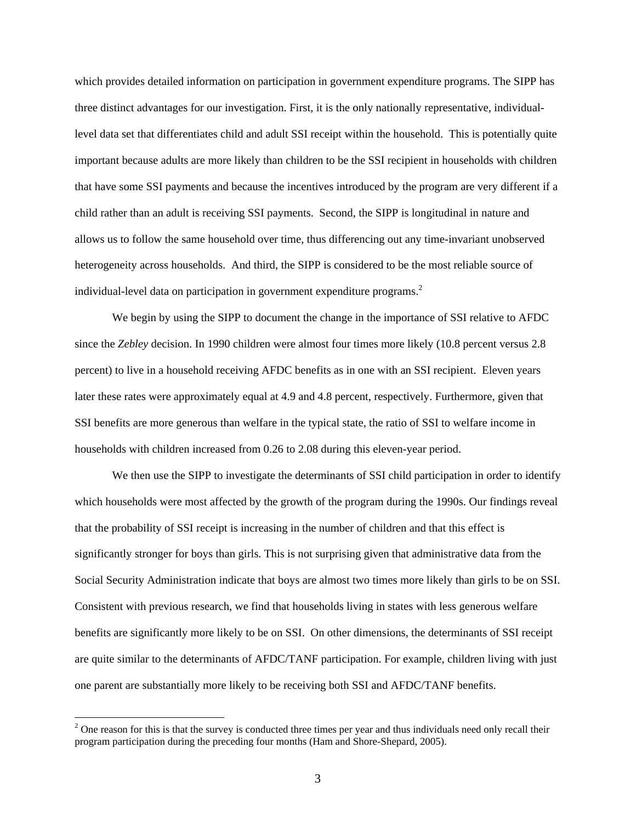which provides detailed information on participation in government expenditure programs. The SIPP has three distinct advantages for our investigation. First, it is the only nationally representative, individuallevel data set that differentiates child and adult SSI receipt within the household. This is potentially quite important because adults are more likely than children to be the SSI recipient in households with children that have some SSI payments and because the incentives introduced by the program are very different if a child rather than an adult is receiving SSI payments. Second, the SIPP is longitudinal in nature and allows us to follow the same household over time, thus differencing out any time-invariant unobserved heterogeneity across households. And third, the SIPP is considered to be the most reliable source of individual-level data on participation in government expenditure programs. $<sup>2</sup>$ </sup>

We begin by using the SIPP to document the change in the importance of SSI relative to AFDC since the *Zebley* decision. In 1990 children were almost four times more likely (10.8 percent versus 2.8 percent) to live in a household receiving AFDC benefits as in one with an SSI recipient. Eleven years later these rates were approximately equal at 4.9 and 4.8 percent, respectively. Furthermore, given that SSI benefits are more generous than welfare in the typical state, the ratio of SSI to welfare income in households with children increased from 0.26 to 2.08 during this eleven-year period.

We then use the SIPP to investigate the determinants of SSI child participation in order to identify which households were most affected by the growth of the program during the 1990s. Our findings reveal that the probability of SSI receipt is increasing in the number of children and that this effect is significantly stronger for boys than girls. This is not surprising given that administrative data from the Social Security Administration indicate that boys are almost two times more likely than girls to be on SSI. Consistent with previous research, we find that households living in states with less generous welfare benefits are significantly more likely to be on SSI. On other dimensions, the determinants of SSI receipt are quite similar to the determinants of AFDC/TANF participation. For example, children living with just one parent are substantially more likely to be receiving both SSI and AFDC/TANF benefits.

 $2^2$  One reason for this is that the survey is conducted three times per year and thus individuals need only recall their program participation during the preceding four months (Ham and Shore-Shepard, 2005).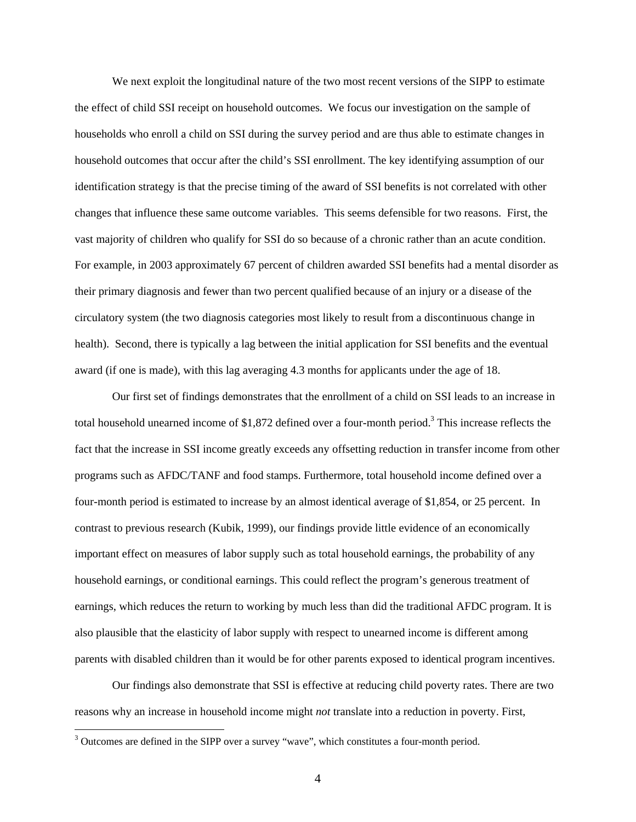We next exploit the longitudinal nature of the two most recent versions of the SIPP to estimate the effect of child SSI receipt on household outcomes. We focus our investigation on the sample of households who enroll a child on SSI during the survey period and are thus able to estimate changes in household outcomes that occur after the child's SSI enrollment. The key identifying assumption of our identification strategy is that the precise timing of the award of SSI benefits is not correlated with other changes that influence these same outcome variables. This seems defensible for two reasons. First, the vast majority of children who qualify for SSI do so because of a chronic rather than an acute condition. For example, in 2003 approximately 67 percent of children awarded SSI benefits had a mental disorder as their primary diagnosis and fewer than two percent qualified because of an injury or a disease of the circulatory system (the two diagnosis categories most likely to result from a discontinuous change in health). Second, there is typically a lag between the initial application for SSI benefits and the eventual award (if one is made), with this lag averaging 4.3 months for applicants under the age of 18.

Our first set of findings demonstrates that the enrollment of a child on SSI leads to an increase in total household unearned income of \$1,872 defined over a four-month period.<sup>3</sup> This increase reflects the fact that the increase in SSI income greatly exceeds any offsetting reduction in transfer income from other programs such as AFDC/TANF and food stamps. Furthermore, total household income defined over a four-month period is estimated to increase by an almost identical average of \$1,854, or 25 percent. In contrast to previous research (Kubik, 1999), our findings provide little evidence of an economically important effect on measures of labor supply such as total household earnings, the probability of any household earnings, or conditional earnings. This could reflect the program's generous treatment of earnings, which reduces the return to working by much less than did the traditional AFDC program. It is also plausible that the elasticity of labor supply with respect to unearned income is different among parents with disabled children than it would be for other parents exposed to identical program incentives.

Our findings also demonstrate that SSI is effective at reducing child poverty rates. There are two reasons why an increase in household income might *not* translate into a reduction in poverty. First,

 $3$  Outcomes are defined in the SIPP over a survey "wave", which constitutes a four-month period.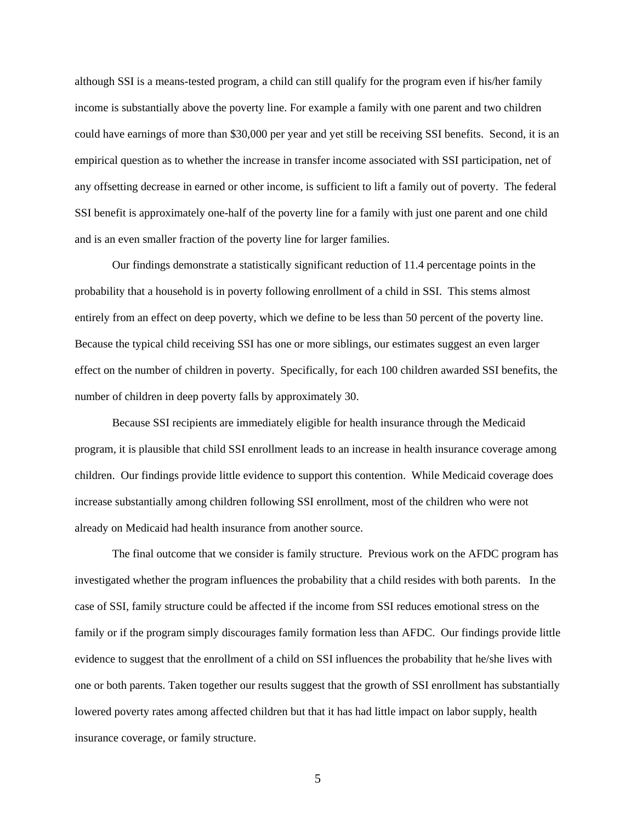although SSI is a means-tested program, a child can still qualify for the program even if his/her family income is substantially above the poverty line. For example a family with one parent and two children could have earnings of more than \$30,000 per year and yet still be receiving SSI benefits. Second, it is an empirical question as to whether the increase in transfer income associated with SSI participation, net of any offsetting decrease in earned or other income, is sufficient to lift a family out of poverty. The federal SSI benefit is approximately one-half of the poverty line for a family with just one parent and one child and is an even smaller fraction of the poverty line for larger families.

Our findings demonstrate a statistically significant reduction of 11.4 percentage points in the probability that a household is in poverty following enrollment of a child in SSI. This stems almost entirely from an effect on deep poverty, which we define to be less than 50 percent of the poverty line. Because the typical child receiving SSI has one or more siblings, our estimates suggest an even larger effect on the number of children in poverty. Specifically, for each 100 children awarded SSI benefits, the number of children in deep poverty falls by approximately 30.

Because SSI recipients are immediately eligible for health insurance through the Medicaid program, it is plausible that child SSI enrollment leads to an increase in health insurance coverage among children. Our findings provide little evidence to support this contention. While Medicaid coverage does increase substantially among children following SSI enrollment, most of the children who were not already on Medicaid had health insurance from another source.

The final outcome that we consider is family structure. Previous work on the AFDC program has investigated whether the program influences the probability that a child resides with both parents. In the case of SSI, family structure could be affected if the income from SSI reduces emotional stress on the family or if the program simply discourages family formation less than AFDC. Our findings provide little evidence to suggest that the enrollment of a child on SSI influences the probability that he/she lives with one or both parents. Taken together our results suggest that the growth of SSI enrollment has substantially lowered poverty rates among affected children but that it has had little impact on labor supply, health insurance coverage, or family structure.

5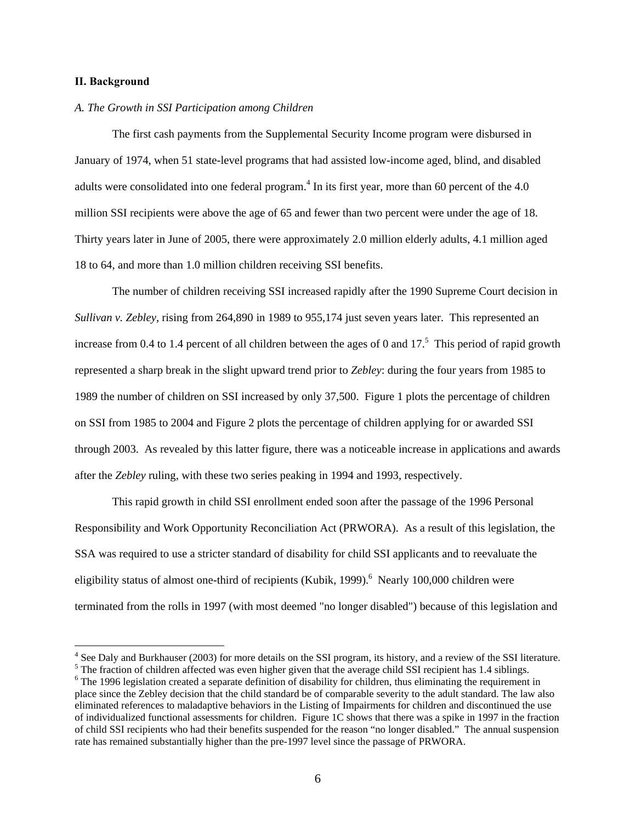#### **II. Background**

 $\overline{a}$ 

#### *A. The Growth in SSI Participation among Children*

The first cash payments from the Supplemental Security Income program were disbursed in January of 1974, when 51 state-level programs that had assisted low-income aged, blind, and disabled adults were consolidated into one federal program.<sup>4</sup> In its first year, more than 60 percent of the 4.0 million SSI recipients were above the age of 65 and fewer than two percent were under the age of 18. Thirty years later in June of 2005, there were approximately 2.0 million elderly adults, 4.1 million aged 18 to 64, and more than 1.0 million children receiving SSI benefits.

The number of children receiving SSI increased rapidly after the 1990 Supreme Court decision in *Sullivan v. Zebley*, rising from 264,890 in 1989 to 955,174 just seven years later. This represented an increase from 0.4 to 1.4 percent of all children between the ages of 0 and  $17<sup>5</sup>$ . This period of rapid growth represented a sharp break in the slight upward trend prior to *Zebley*: during the four years from 1985 to 1989 the number of children on SSI increased by only 37,500. Figure 1 plots the percentage of children on SSI from 1985 to 2004 and Figure 2 plots the percentage of children applying for or awarded SSI through 2003. As revealed by this latter figure, there was a noticeable increase in applications and awards after the *Zebley* ruling, with these two series peaking in 1994 and 1993, respectively.

This rapid growth in child SSI enrollment ended soon after the passage of the 1996 Personal Responsibility and Work Opportunity Reconciliation Act (PRWORA). As a result of this legislation, the SSA was required to use a stricter standard of disability for child SSI applicants and to reevaluate the eligibility status of almost one-third of recipients (Kubik, 1999).<sup>6</sup> Nearly 100,000 children were terminated from the rolls in 1997 (with most deemed "no longer disabled") because of this legislation and

<sup>&</sup>lt;sup>4</sup> See Daly and Burkhauser (2003) for more details on the SSI program, its history, and a review of the SSI literature.  $5 \text{ The fraction of children offered use, even higher given that the average child SST resolution to a 1.4 cibling.}$ 

The fraction of children affected was even higher given that the average child SSI recipient has 1.4 siblings.

<sup>&</sup>lt;sup>6</sup> The 1996 legislation created a separate definition of disability for children, thus eliminating the requirement in place since the Zebley decision that the child standard be of comparable severity to the adult standard. The law also eliminated references to maladaptive behaviors in the Listing of Impairments for children and discontinued the use of individualized functional assessments for children. Figure 1C shows that there was a spike in 1997 in the fraction of child SSI recipients who had their benefits suspended for the reason "no longer disabled." The annual suspension rate has remained substantially higher than the pre-1997 level since the passage of PRWORA.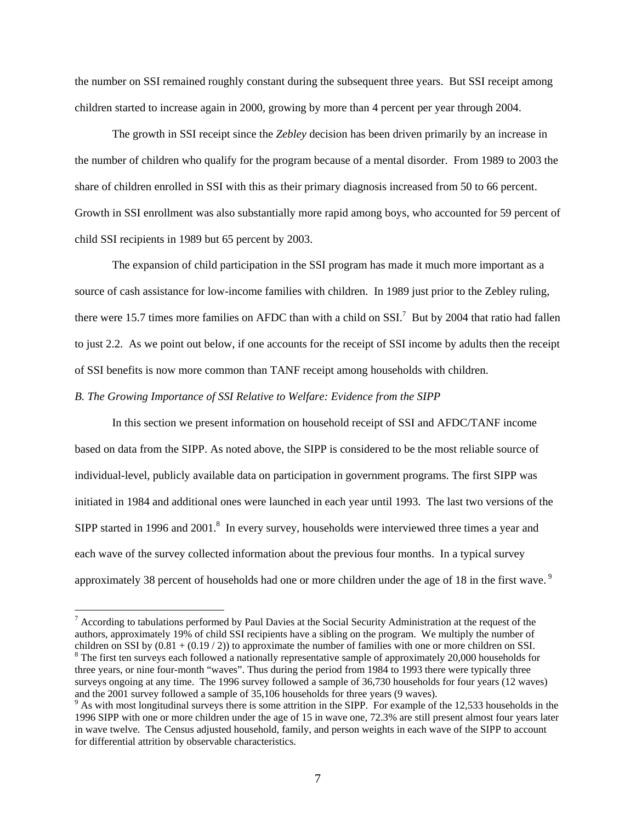the number on SSI remained roughly constant during the subsequent three years. But SSI receipt among children started to increase again in 2000, growing by more than 4 percent per year through 2004.

The growth in SSI receipt since the *Zebley* decision has been driven primarily by an increase in the number of children who qualify for the program because of a mental disorder. From 1989 to 2003 the share of children enrolled in SSI with this as their primary diagnosis increased from 50 to 66 percent. Growth in SSI enrollment was also substantially more rapid among boys, who accounted for 59 percent of child SSI recipients in 1989 but 65 percent by 2003.

The expansion of child participation in the SSI program has made it much more important as a source of cash assistance for low-income families with children. In 1989 just prior to the Zebley ruling, there were 15.7 times more families on AFDC than with a child on SSI.<sup>7</sup> But by 2004 that ratio had fallen to just 2.2. As we point out below, if one accounts for the receipt of SSI income by adults then the receipt of SSI benefits is now more common than TANF receipt among households with children.

*B. The Growing Importance of SSI Relative to Welfare: Evidence from the SIPP* 

 $\overline{a}$ 

In this section we present information on household receipt of SSI and AFDC/TANF income based on data from the SIPP. As noted above, the SIPP is considered to be the most reliable source of individual-level, publicly available data on participation in government programs. The first SIPP was initiated in 1984 and additional ones were launched in each year until 1993. The last two versions of the SIPP started in 1996 and  $2001$ .<sup>8</sup> In every survey, households were interviewed three times a year and each wave of the survey collected information about the previous four months. In a typical survey approximately 38 percent of households had one or more children under the age of 18 in the first wave.<sup>9</sup>

 $<sup>7</sup>$  According to tabulations performed by Paul Davies at the Social Security Administration at the request of the</sup> authors, approximately 19% of child SSI recipients have a sibling on the program. We multiply the number of children on SSI by  $(0.81 + (0.19 / 2))$  to approximate the number of families with one or more children on SSI.  $8$  The first ten surveys each followed a nationally representative sample of approximately 20,000 households for three years, or nine four-month "waves". Thus during the period from 1984 to 1993 there were typically three surveys ongoing at any time. The 1996 survey followed a sample of 36,730 households for four years (12 waves) and the 2001 survey followed a sample of 35,106 households for three years (9 waves).

 $\degree$  As with most longitudinal surveys there is some attrition in the SIPP. For example of the 12,533 households in the 1996 SIPP with one or more children under the age of 15 in wave one, 72.3% are still present almost four years later in wave twelve. The Census adjusted household, family, and person weights in each wave of the SIPP to account for differential attrition by observable characteristics.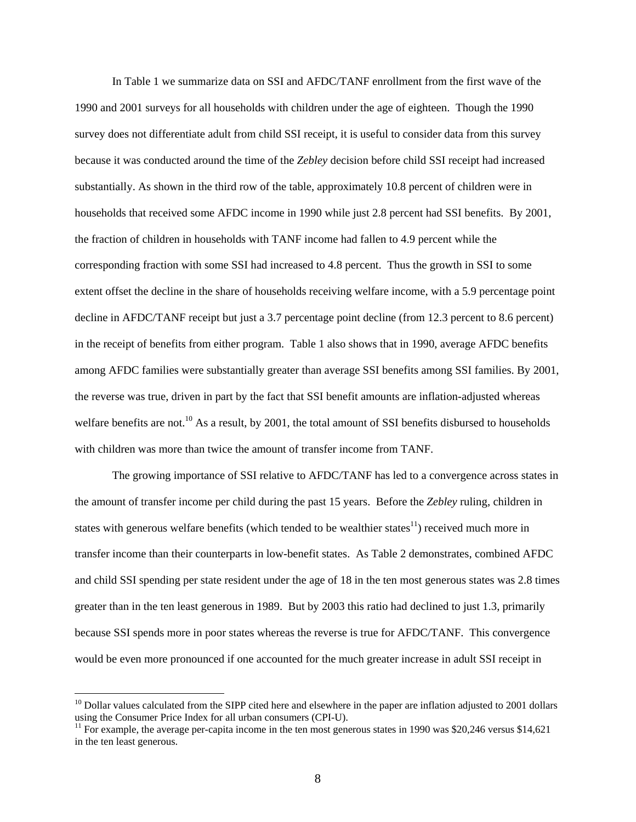In Table 1 we summarize data on SSI and AFDC/TANF enrollment from the first wave of the 1990 and 2001 surveys for all households with children under the age of eighteen. Though the 1990 survey does not differentiate adult from child SSI receipt, it is useful to consider data from this survey because it was conducted around the time of the *Zebley* decision before child SSI receipt had increased substantially. As shown in the third row of the table, approximately 10.8 percent of children were in households that received some AFDC income in 1990 while just 2.8 percent had SSI benefits. By 2001, the fraction of children in households with TANF income had fallen to 4.9 percent while the corresponding fraction with some SSI had increased to 4.8 percent. Thus the growth in SSI to some extent offset the decline in the share of households receiving welfare income, with a 5.9 percentage point decline in AFDC/TANF receipt but just a 3.7 percentage point decline (from 12.3 percent to 8.6 percent) in the receipt of benefits from either program. Table 1 also shows that in 1990, average AFDC benefits among AFDC families were substantially greater than average SSI benefits among SSI families. By 2001, the reverse was true, driven in part by the fact that SSI benefit amounts are inflation-adjusted whereas welfare benefits are not.<sup>10</sup> As a result, by 2001, the total amount of SSI benefits disbursed to households with children was more than twice the amount of transfer income from TANF.

The growing importance of SSI relative to AFDC/TANF has led to a convergence across states in the amount of transfer income per child during the past 15 years. Before the *Zebley* ruling, children in states with generous welfare benefits (which tended to be wealthier states $^{11}$ ) received much more in transfer income than their counterparts in low-benefit states. As Table 2 demonstrates, combined AFDC and child SSI spending per state resident under the age of 18 in the ten most generous states was 2.8 times greater than in the ten least generous in 1989. But by 2003 this ratio had declined to just 1.3, primarily because SSI spends more in poor states whereas the reverse is true for AFDC/TANF. This convergence would be even more pronounced if one accounted for the much greater increase in adult SSI receipt in

<sup>&</sup>lt;sup>10</sup> Dollar values calculated from the SIPP cited here and elsewhere in the paper are inflation adjusted to 2001 dollars using the Consumer Price Index for all urban consumers (CPI-U).

<sup>&</sup>lt;sup>11</sup> For example, the average per-capita income in the ten most generous states in 1990 was \$20,246 versus \$14,621 in the ten least generous.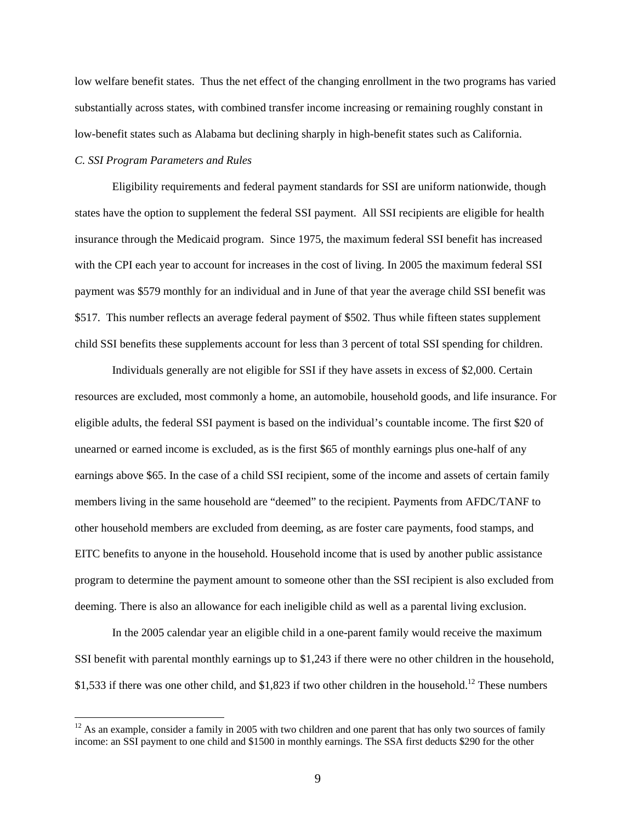low welfare benefit states. Thus the net effect of the changing enrollment in the two programs has varied substantially across states, with combined transfer income increasing or remaining roughly constant in low-benefit states such as Alabama but declining sharply in high-benefit states such as California.

# *C. SSI Program Parameters and Rules*

 $\overline{a}$ 

Eligibility requirements and federal payment standards for SSI are uniform nationwide, though states have the option to supplement the federal SSI payment. All SSI recipients are eligible for health insurance through the Medicaid program. Since 1975, the maximum federal SSI benefit has increased with the CPI each year to account for increases in the cost of living. In 2005 the maximum federal SSI payment was \$579 monthly for an individual and in June of that year the average child SSI benefit was \$517. This number reflects an average federal payment of \$502. Thus while fifteen states supplement child SSI benefits these supplements account for less than 3 percent of total SSI spending for children.

Individuals generally are not eligible for SSI if they have assets in excess of \$2,000. Certain resources are excluded, most commonly a home, an automobile, household goods, and life insurance. For eligible adults, the federal SSI payment is based on the individual's countable income. The first \$20 of unearned or earned income is excluded, as is the first \$65 of monthly earnings plus one-half of any earnings above \$65. In the case of a child SSI recipient, some of the income and assets of certain family members living in the same household are "deemed" to the recipient. Payments from AFDC/TANF to other household members are excluded from deeming, as are foster care payments, food stamps, and EITC benefits to anyone in the household. Household income that is used by another public assistance program to determine the payment amount to someone other than the SSI recipient is also excluded from deeming. There is also an allowance for each ineligible child as well as a parental living exclusion.

In the 2005 calendar year an eligible child in a one-parent family would receive the maximum SSI benefit with parental monthly earnings up to \$1,243 if there were no other children in the household, \$1,533 if there was one other child, and \$1,823 if two other children in the household.<sup>12</sup> These numbers

 $12$  As an example, consider a family in 2005 with two children and one parent that has only two sources of family income: an SSI payment to one child and \$1500 in monthly earnings. The SSA first deducts \$290 for the other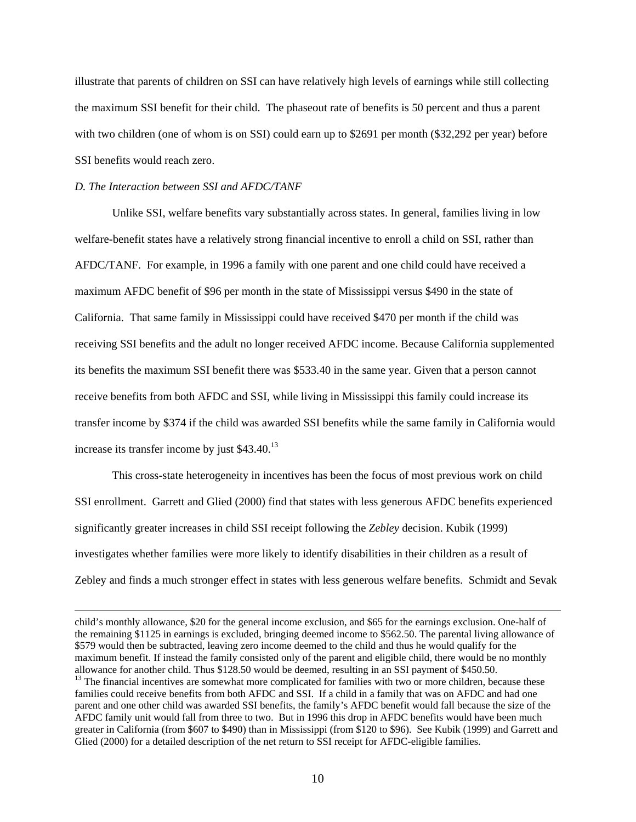illustrate that parents of children on SSI can have relatively high levels of earnings while still collecting the maximum SSI benefit for their child. The phaseout rate of benefits is 50 percent and thus a parent with two children (one of whom is on SSI) could earn up to \$2691 per month (\$32,292 per year) before SSI benefits would reach zero.

#### *D. The Interaction between SSI and AFDC/TANF*

Unlike SSI, welfare benefits vary substantially across states. In general, families living in low welfare-benefit states have a relatively strong financial incentive to enroll a child on SSI, rather than AFDC/TANF. For example, in 1996 a family with one parent and one child could have received a maximum AFDC benefit of \$96 per month in the state of Mississippi versus \$490 in the state of California. That same family in Mississippi could have received \$470 per month if the child was receiving SSI benefits and the adult no longer received AFDC income. Because California supplemented its benefits the maximum SSI benefit there was \$533.40 in the same year. Given that a person cannot receive benefits from both AFDC and SSI, while living in Mississippi this family could increase its transfer income by \$374 if the child was awarded SSI benefits while the same family in California would increase its transfer income by just  $$43.40$ .<sup>13</sup>

This cross-state heterogeneity in incentives has been the focus of most previous work on child SSI enrollment. Garrett and Glied (2000) find that states with less generous AFDC benefits experienced significantly greater increases in child SSI receipt following the *Zebley* decision. Kubik (1999) investigates whether families were more likely to identify disabilities in their children as a result of Zebley and finds a much stronger effect in states with less generous welfare benefits. Schmidt and Sevak

 child's monthly allowance, \$20 for the general income exclusion, and \$65 for the earnings exclusion. One-half of the remaining \$1125 in earnings is excluded, bringing deemed income to \$562.50. The parental living allowance of \$579 would then be subtracted, leaving zero income deemed to the child and thus he would qualify for the maximum benefit. If instead the family consisted only of the parent and eligible child, there would be no monthly allowance for another child. Thus \$128.50 would be deemed, resulting in an SSI payment of \$450.50. <sup>13</sup> The financial incentives are somewhat more complicated for families with two or more children, because these families could receive benefits from both AFDC and SSI. If a child in a family that was on AFDC and had one parent and one other child was awarded SSI benefits, the family's AFDC benefit would fall because the size of the AFDC family unit would fall from three to two. But in 1996 this drop in AFDC benefits would have been much greater in California (from \$607 to \$490) than in Mississippi (from \$120 to \$96). See Kubik (1999) and Garrett and Glied (2000) for a detailed description of the net return to SSI receipt for AFDC-eligible families.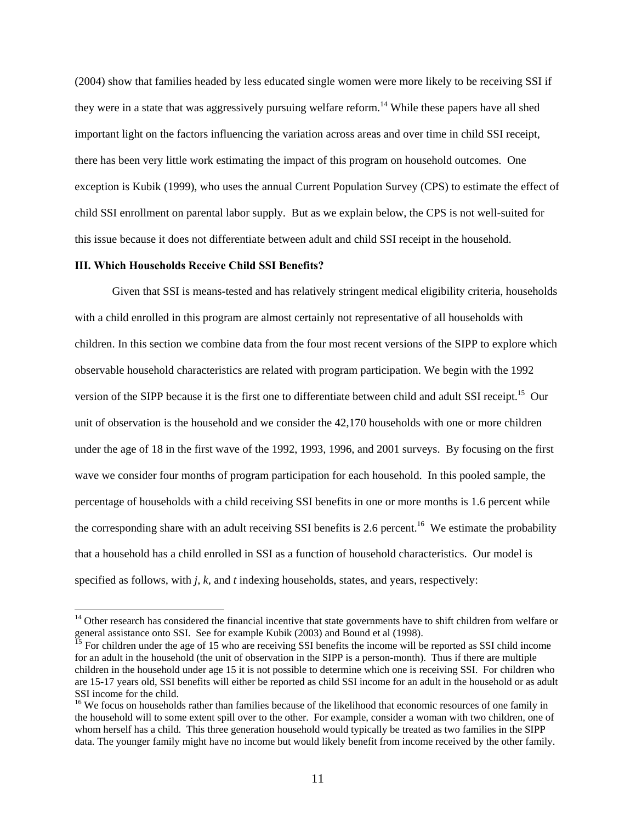(2004) show that families headed by less educated single women were more likely to be receiving SSI if they were in a state that was aggressively pursuing welfare reform.<sup>14</sup> While these papers have all shed important light on the factors influencing the variation across areas and over time in child SSI receipt, there has been very little work estimating the impact of this program on household outcomes. One exception is Kubik (1999), who uses the annual Current Population Survey (CPS) to estimate the effect of child SSI enrollment on parental labor supply. But as we explain below, the CPS is not well-suited for this issue because it does not differentiate between adult and child SSI receipt in the household.

#### **III. Which Households Receive Child SSI Benefits?**

 $\overline{a}$ 

 Given that SSI is means-tested and has relatively stringent medical eligibility criteria, households with a child enrolled in this program are almost certainly not representative of all households with children. In this section we combine data from the four most recent versions of the SIPP to explore which observable household characteristics are related with program participation. We begin with the 1992 version of the SIPP because it is the first one to differentiate between child and adult SSI receipt.<sup>15</sup> Our unit of observation is the household and we consider the 42,170 households with one or more children under the age of 18 in the first wave of the 1992, 1993, 1996, and 2001 surveys. By focusing on the first wave we consider four months of program participation for each household. In this pooled sample, the percentage of households with a child receiving SSI benefits in one or more months is 1.6 percent while the corresponding share with an adult receiving SSI benefits is 2.6 percent.<sup>16</sup> We estimate the probability that a household has a child enrolled in SSI as a function of household characteristics. Our model is specified as follows, with *j, k,* and *t* indexing households, states, and years, respectively:

 $14$  Other research has considered the financial incentive that state governments have to shift children from welfare or general assistance onto SSI. See for example Kubik (2003) and Bound et al (1998).

 $15$  For children under the age of 15 who are receiving SSI benefits the income will be reported as SSI child income for an adult in the household (the unit of observation in the SIPP is a person-month). Thus if there are multiple children in the household under age 15 it is not possible to determine which one is receiving SSI. For children who are 15-17 years old, SSI benefits will either be reported as child SSI income for an adult in the household or as adult SSI income for the child.

<sup>&</sup>lt;sup>16</sup> We focus on households rather than families because of the likelihood that economic resources of one family in the household will to some extent spill over to the other. For example, consider a woman with two children, one of whom herself has a child. This three generation household would typically be treated as two families in the SIPP data. The younger family might have no income but would likely benefit from income received by the other family.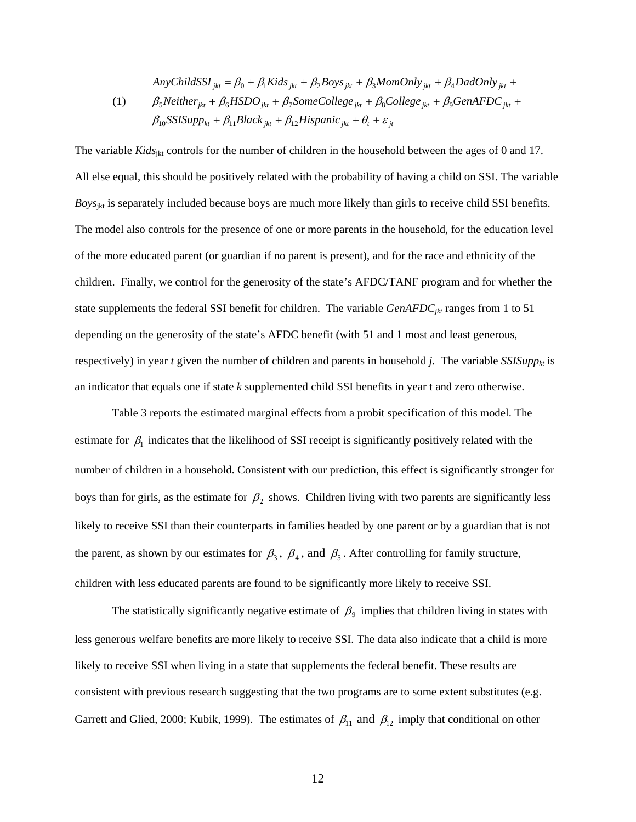$$
Any ChildSSI_{jkt} = \beta_0 + \beta_1 Kids_{jkt} + \beta_2 Boys_{jkt} + \beta_3 MomOnly_{jkt} + \beta_4 DadOnly_{jkt} + \n(\beta_5 Neither_{jkt} + \beta_6 HSDO_{jkt} + \beta_7 Some College_{jkt} + \beta_8 College_{jkt} + \beta_9 GenAFDC_{jkt} + \n\beta_{10} SSISupp_{kt} + \beta_{11} Black_{jkt} + \beta_{12} Hispanic_{jkt} + \theta_t + \varepsilon_{jt}
$$

The variable *Kids*<sub>ikt</sub> controls for the number of children in the household between the ages of 0 and 17. All else equal, this should be positively related with the probability of having a child on SSI. The variable *Boys<sub>ikt</sub>* is separately included because boys are much more likely than girls to receive child SSI benefits. The model also controls for the presence of one or more parents in the household, for the education level of the more educated parent (or guardian if no parent is present), and for the race and ethnicity of the children. Finally, we control for the generosity of the state's AFDC/TANF program and for whether the state supplements the federal SSI benefit for children. The variable *GenAFDC<sub>ikt</sub>* ranges from 1 to 51 depending on the generosity of the state's AFDC benefit (with 51 and 1 most and least generous, respectively) in year *t* given the number of children and parents in household *j*. The variable *SSISupp<sub>kt</sub>* is an indicator that equals one if state *k* supplemented child SSI benefits in year t and zero otherwise.

 Table 3 reports the estimated marginal effects from a probit specification of this model. The estimate for  $\beta_1$  indicates that the likelihood of SSI receipt is significantly positively related with the number of children in a household. Consistent with our prediction, this effect is significantly stronger for boys than for girls, as the estimate for  $\beta_2$  shows. Children living with two parents are significantly less likely to receive SSI than their counterparts in families headed by one parent or by a guardian that is not the parent, as shown by our estimates for  $\beta_3$ ,  $\beta_4$ , and  $\beta_5$ . After controlling for family structure, children with less educated parents are found to be significantly more likely to receive SSI.

The statistically significantly negative estimate of  $\beta_9$  implies that children living in states with less generous welfare benefits are more likely to receive SSI. The data also indicate that a child is more likely to receive SSI when living in a state that supplements the federal benefit. These results are consistent with previous research suggesting that the two programs are to some extent substitutes (e.g. Garrett and Glied, 2000; Kubik, 1999). The estimates of  $\beta_{11}$  and  $\beta_{12}$  imply that conditional on other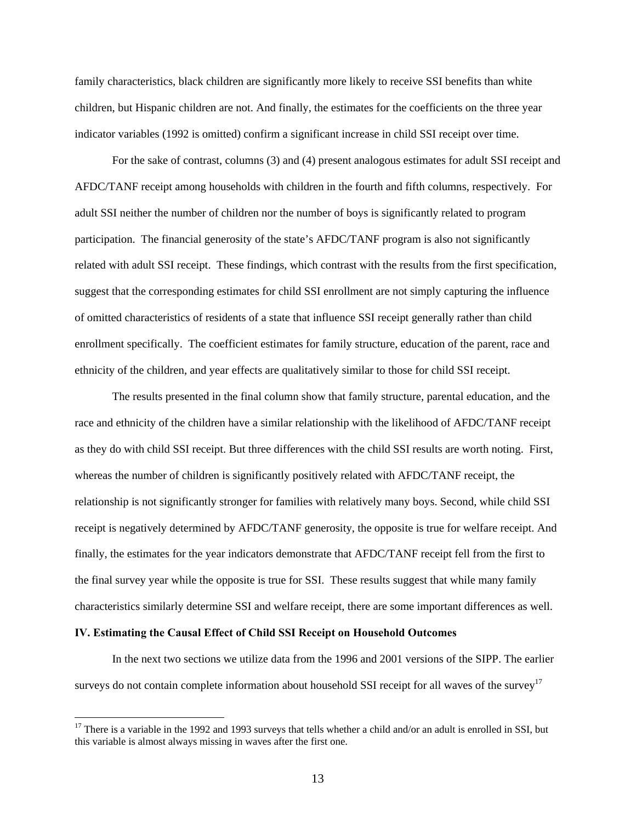family characteristics, black children are significantly more likely to receive SSI benefits than white children, but Hispanic children are not. And finally, the estimates for the coefficients on the three year indicator variables (1992 is omitted) confirm a significant increase in child SSI receipt over time.

For the sake of contrast, columns (3) and (4) present analogous estimates for adult SSI receipt and AFDC/TANF receipt among households with children in the fourth and fifth columns, respectively. For adult SSI neither the number of children nor the number of boys is significantly related to program participation. The financial generosity of the state's AFDC/TANF program is also not significantly related with adult SSI receipt. These findings, which contrast with the results from the first specification, suggest that the corresponding estimates for child SSI enrollment are not simply capturing the influence of omitted characteristics of residents of a state that influence SSI receipt generally rather than child enrollment specifically. The coefficient estimates for family structure, education of the parent, race and ethnicity of the children, and year effects are qualitatively similar to those for child SSI receipt.

The results presented in the final column show that family structure, parental education, and the race and ethnicity of the children have a similar relationship with the likelihood of AFDC/TANF receipt as they do with child SSI receipt. But three differences with the child SSI results are worth noting. First, whereas the number of children is significantly positively related with AFDC/TANF receipt, the relationship is not significantly stronger for families with relatively many boys. Second, while child SSI receipt is negatively determined by AFDC/TANF generosity, the opposite is true for welfare receipt. And finally, the estimates for the year indicators demonstrate that AFDC/TANF receipt fell from the first to the final survey year while the opposite is true for SSI. These results suggest that while many family characteristics similarly determine SSI and welfare receipt, there are some important differences as well.

### **IV. Estimating the Causal Effect of Child SSI Receipt on Household Outcomes**

 $\overline{a}$ 

In the next two sections we utilize data from the 1996 and 2001 versions of the SIPP. The earlier surveys do not contain complete information about household SSI receipt for all waves of the survey<sup>17</sup>

 $17$  There is a variable in the 1992 and 1993 surveys that tells whether a child and/or an adult is enrolled in SSI, but this variable is almost always missing in waves after the first one.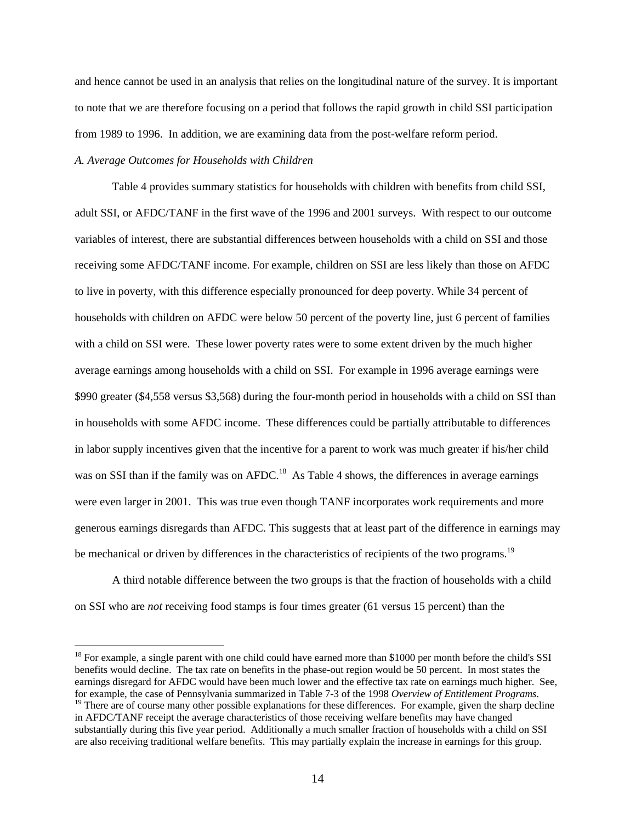and hence cannot be used in an analysis that relies on the longitudinal nature of the survey. It is important to note that we are therefore focusing on a period that follows the rapid growth in child SSI participation from 1989 to 1996. In addition, we are examining data from the post-welfare reform period.

# *A. Average Outcomes for Households with Children*

 $\overline{a}$ 

Table 4 provides summary statistics for households with children with benefits from child SSI, adult SSI, or AFDC/TANF in the first wave of the 1996 and 2001 surveys. With respect to our outcome variables of interest, there are substantial differences between households with a child on SSI and those receiving some AFDC/TANF income. For example, children on SSI are less likely than those on AFDC to live in poverty, with this difference especially pronounced for deep poverty. While 34 percent of households with children on AFDC were below 50 percent of the poverty line, just 6 percent of families with a child on SSI were. These lower poverty rates were to some extent driven by the much higher average earnings among households with a child on SSI. For example in 1996 average earnings were \$990 greater (\$4,558 versus \$3,568) during the four-month period in households with a child on SSI than in households with some AFDC income. These differences could be partially attributable to differences in labor supply incentives given that the incentive for a parent to work was much greater if his/her child was on SSI than if the family was on AFDC.<sup>18</sup> As Table 4 shows, the differences in average earnings were even larger in 2001. This was true even though TANF incorporates work requirements and more generous earnings disregards than AFDC. This suggests that at least part of the difference in earnings may be mechanical or driven by differences in the characteristics of recipients of the two programs.<sup>19</sup>

A third notable difference between the two groups is that the fraction of households with a child on SSI who are *not* receiving food stamps is four times greater (61 versus 15 percent) than the

<sup>&</sup>lt;sup>18</sup> For example, a single parent with one child could have earned more than \$1000 per month before the child's SSI benefits would decline. The tax rate on benefits in the phase-out region would be 50 percent. In most states the earnings disregard for AFDC would have been much lower and the effective tax rate on earnings much higher. See, for example, the case of Pennsylvania summarized in Table 7-3 of the 1998 Overview of Entitlement Programs.<br><sup>19</sup> There are of course many other possible explanations for these differences. For example, given the sharp decl

in AFDC/TANF receipt the average characteristics of those receiving welfare benefits may have changed substantially during this five year period. Additionally a much smaller fraction of households with a child on SSI are also receiving traditional welfare benefits. This may partially explain the increase in earnings for this group.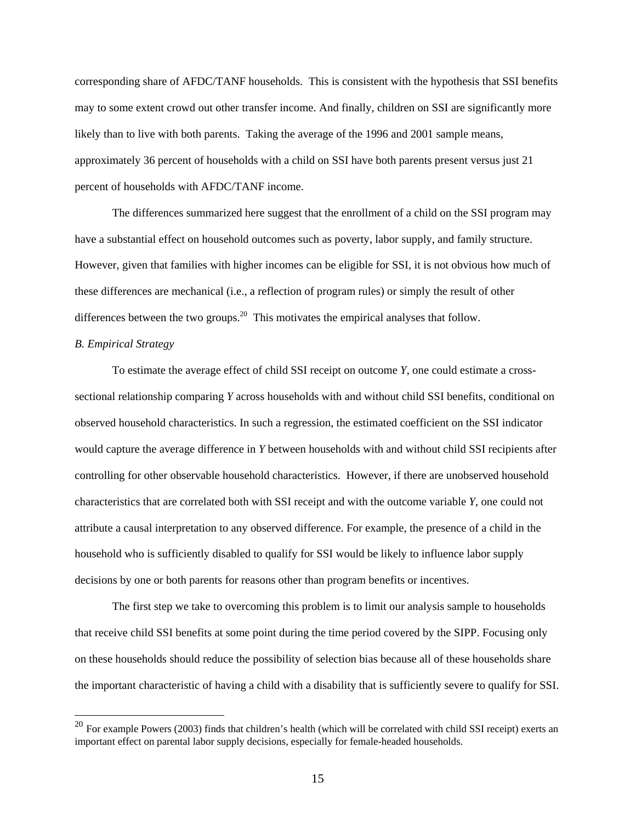corresponding share of AFDC/TANF households. This is consistent with the hypothesis that SSI benefits may to some extent crowd out other transfer income. And finally, children on SSI are significantly more likely than to live with both parents. Taking the average of the 1996 and 2001 sample means, approximately 36 percent of households with a child on SSI have both parents present versus just 21 percent of households with AFDC/TANF income.

The differences summarized here suggest that the enrollment of a child on the SSI program may have a substantial effect on household outcomes such as poverty, labor supply, and family structure. However, given that families with higher incomes can be eligible for SSI, it is not obvious how much of these differences are mechanical (i.e., a reflection of program rules) or simply the result of other differences between the two groups.<sup>20</sup> This motivates the empirical analyses that follow.

# *B. Empirical Strategy*

 $\overline{a}$ 

To estimate the average effect of child SSI receipt on outcome *Y*, one could estimate a crosssectional relationship comparing *Y* across households with and without child SSI benefits, conditional on observed household characteristics. In such a regression, the estimated coefficient on the SSI indicator would capture the average difference in *Y* between households with and without child SSI recipients after controlling for other observable household characteristics. However, if there are unobserved household characteristics that are correlated both with SSI receipt and with the outcome variable *Y*, one could not attribute a causal interpretation to any observed difference. For example, the presence of a child in the household who is sufficiently disabled to qualify for SSI would be likely to influence labor supply decisions by one or both parents for reasons other than program benefits or incentives.

The first step we take to overcoming this problem is to limit our analysis sample to households that receive child SSI benefits at some point during the time period covered by the SIPP. Focusing only on these households should reduce the possibility of selection bias because all of these households share the important characteristic of having a child with a disability that is sufficiently severe to qualify for SSI.

 $^{20}$  For example Powers (2003) finds that children's health (which will be correlated with child SSI receipt) exerts an important effect on parental labor supply decisions, especially for female-headed households.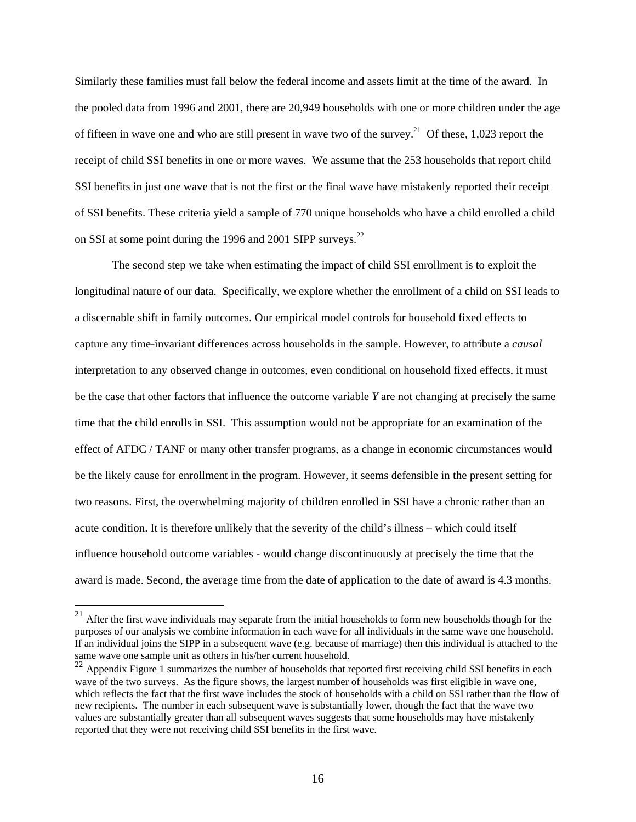Similarly these families must fall below the federal income and assets limit at the time of the award. In the pooled data from 1996 and 2001, there are 20,949 households with one or more children under the age of fifteen in wave one and who are still present in wave two of the survey.<sup>21</sup> Of these, 1,023 report the receipt of child SSI benefits in one or more waves. We assume that the 253 households that report child SSI benefits in just one wave that is not the first or the final wave have mistakenly reported their receipt of SSI benefits. These criteria yield a sample of 770 unique households who have a child enrolled a child on SSI at some point during the 1996 and 2001 SIPP surveys. $^{22}$ 

The second step we take when estimating the impact of child SSI enrollment is to exploit the longitudinal nature of our data. Specifically, we explore whether the enrollment of a child on SSI leads to a discernable shift in family outcomes. Our empirical model controls for household fixed effects to capture any time-invariant differences across households in the sample. However, to attribute a *causal* interpretation to any observed change in outcomes, even conditional on household fixed effects, it must be the case that other factors that influence the outcome variable *Y* are not changing at precisely the same time that the child enrolls in SSI. This assumption would not be appropriate for an examination of the effect of AFDC / TANF or many other transfer programs, as a change in economic circumstances would be the likely cause for enrollment in the program. However, it seems defensible in the present setting for two reasons. First, the overwhelming majority of children enrolled in SSI have a chronic rather than an acute condition. It is therefore unlikely that the severity of the child's illness – which could itself influence household outcome variables - would change discontinuously at precisely the time that the award is made. Second, the average time from the date of application to the date of award is 4.3 months.

 $^{21}$  After the first wave individuals may separate from the initial households to form new households though for the purposes of our analysis we combine information in each wave for all individuals in the same wave one household. If an individual joins the SIPP in a subsequent wave (e.g. because of marriage) then this individual is attached to the same wave one sample unit as others in his/her current household.

 $22$  Appendix Figure 1 summarizes the number of households that reported first receiving child SSI benefits in each wave of the two surveys. As the figure shows, the largest number of households was first eligible in wave one, which reflects the fact that the first wave includes the stock of households with a child on SSI rather than the flow of new recipients. The number in each subsequent wave is substantially lower, though the fact that the wave two values are substantially greater than all subsequent waves suggests that some households may have mistakenly reported that they were not receiving child SSI benefits in the first wave.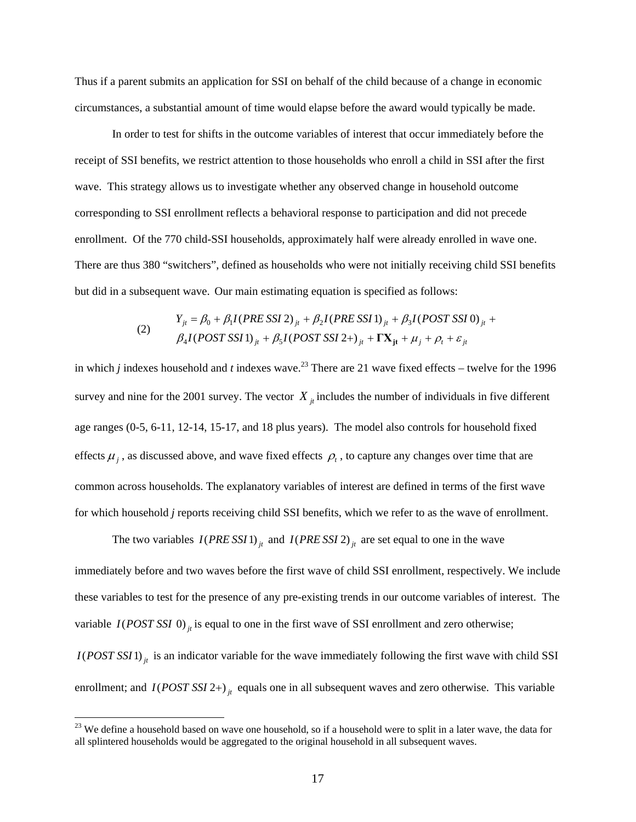Thus if a parent submits an application for SSI on behalf of the child because of a change in economic circumstances, a substantial amount of time would elapse before the award would typically be made.

In order to test for shifts in the outcome variables of interest that occur immediately before the receipt of SSI benefits, we restrict attention to those households who enroll a child in SSI after the first wave. This strategy allows us to investigate whether any observed change in household outcome corresponding to SSI enrollment reflects a behavioral response to participation and did not precede enrollment. Of the 770 child-SSI households, approximately half were already enrolled in wave one. There are thus 380 "switchers", defined as households who were not initially receiving child SSI benefits but did in a subsequent wave. Our main estimating equation is specified as follows:

(2) 
$$
Y_{jt} = \beta_0 + \beta_1 I (PRE SSI 2)_{jt} + \beta_2 I (PRE SSI 1)_{jt} + \beta_3 I (POST SSI 0)_{jt} + \beta_4 I (POST SSI 1)_{jt} + \beta_5 I (POST SSI 2+)_{jt} + \mathbf{TX}_{jt} + \mu_j + \rho_t + \varepsilon_{jt}
$$

in which *j* indexes household and *t* indexes wave.<sup>23</sup> There are 21 wave fixed effects – twelve for the 1996 survey and nine for the 2001 survey. The vector  $X_{i}$  includes the number of individuals in five different age ranges (0-5, 6-11, 12-14, 15-17, and 18 plus years). The model also controls for household fixed effects  $\mu_i$ , as discussed above, and wave fixed effects  $\rho_t$ , to capture any changes over time that are common across households. The explanatory variables of interest are defined in terms of the first wave for which household *j* reports receiving child SSI benefits, which we refer to as the wave of enrollment.

The two variables  $I(PRE SSI1)_{it}$  and  $I(PRE SSI2)_{it}$  are set equal to one in the wave

immediately before and two waves before the first wave of child SSI enrollment, respectively. We include these variables to test for the presence of any pre-existing trends in our outcome variables of interest. The variable  $I(POST SSI\ 0)$  is equal to one in the first wave of SSI enrollment and zero otherwise;  $I(POST SSI)$ <sub>it</sub> is an indicator variable for the wave immediately following the first wave with child SSI enrollment; and  $I(POST SSI 2+)_{it}$  equals one in all subsequent waves and zero otherwise. This variable

 $23$  We define a household based on wave one household, so if a household were to split in a later wave, the data for all splintered households would be aggregated to the original household in all subsequent waves.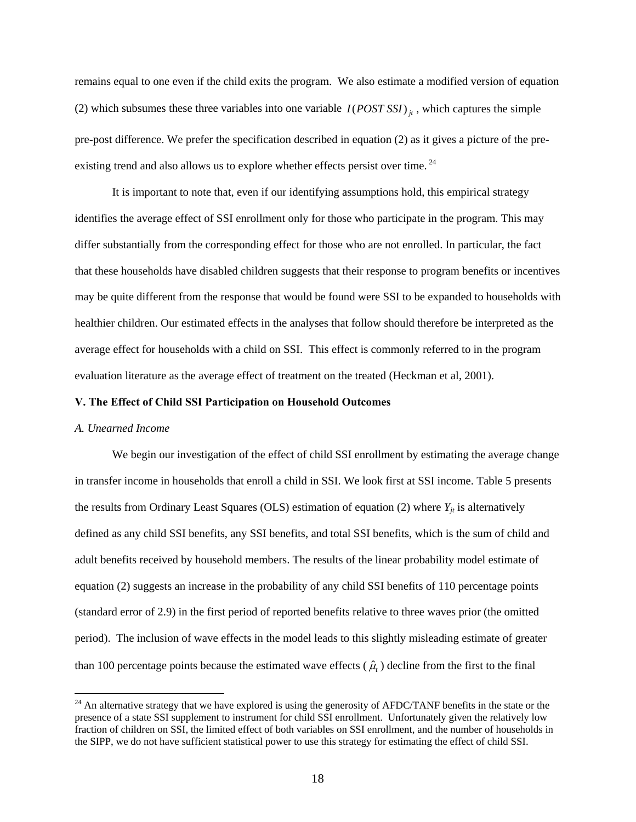remains equal to one even if the child exits the program. We also estimate a modified version of equation (2) which subsumes these three variables into one variable  $I(POST SSI)_{it}$ , which captures the simple pre-post difference. We prefer the specification described in equation (2) as it gives a picture of the preexisting trend and also allows us to explore whether effects persist over time.<sup>24</sup>

It is important to note that, even if our identifying assumptions hold, this empirical strategy identifies the average effect of SSI enrollment only for those who participate in the program. This may differ substantially from the corresponding effect for those who are not enrolled. In particular, the fact that these households have disabled children suggests that their response to program benefits or incentives may be quite different from the response that would be found were SSI to be expanded to households with healthier children. Our estimated effects in the analyses that follow should therefore be interpreted as the average effect for households with a child on SSI. This effect is commonly referred to in the program evaluation literature as the average effect of treatment on the treated (Heckman et al, 2001).

#### **V. The Effect of Child SSI Participation on Household Outcomes**

### *A. Unearned Income*

 $\overline{a}$ 

We begin our investigation of the effect of child SSI enrollment by estimating the average change in transfer income in households that enroll a child in SSI. We look first at SSI income. Table 5 presents the results from Ordinary Least Squares (OLS) estimation of equation (2) where  $Y_{jt}$  is alternatively defined as any child SSI benefits, any SSI benefits, and total SSI benefits, which is the sum of child and adult benefits received by household members. The results of the linear probability model estimate of equation (2) suggests an increase in the probability of any child SSI benefits of 110 percentage points (standard error of 2.9) in the first period of reported benefits relative to three waves prior (the omitted period). The inclusion of wave effects in the model leads to this slightly misleading estimate of greater than 100 percentage points because the estimated wave effects  $(\hat{\mu})$  decline from the first to the final

 $^{24}$  An alternative strategy that we have explored is using the generosity of AFDC/TANF benefits in the state or the presence of a state SSI supplement to instrument for child SSI enrollment. Unfortunately given the relatively low fraction of children on SSI, the limited effect of both variables on SSI enrollment, and the number of households in the SIPP, we do not have sufficient statistical power to use this strategy for estimating the effect of child SSI.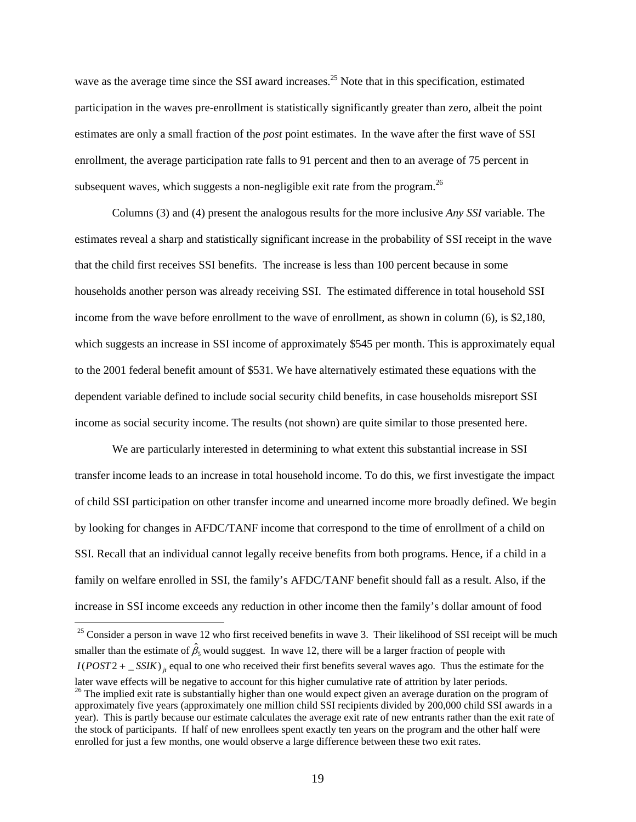wave as the average time since the SSI award increases.<sup>25</sup> Note that in this specification, estimated participation in the waves pre-enrollment is statistically significantly greater than zero, albeit the point estimates are only a small fraction of the *post* point estimates. In the wave after the first wave of SSI enrollment, the average participation rate falls to 91 percent and then to an average of 75 percent in subsequent waves, which suggests a non-negligible exit rate from the program.<sup>26</sup>

Columns (3) and (4) present the analogous results for the more inclusive *Any SSI* variable. The estimates reveal a sharp and statistically significant increase in the probability of SSI receipt in the wave that the child first receives SSI benefits. The increase is less than 100 percent because in some households another person was already receiving SSI. The estimated difference in total household SSI income from the wave before enrollment to the wave of enrollment, as shown in column (6), is \$2,180, which suggests an increase in SSI income of approximately \$545 per month. This is approximately equal to the 2001 federal benefit amount of \$531. We have alternatively estimated these equations with the dependent variable defined to include social security child benefits, in case households misreport SSI income as social security income. The results (not shown) are quite similar to those presented here.

We are particularly interested in determining to what extent this substantial increase in SSI transfer income leads to an increase in total household income. To do this, we first investigate the impact of child SSI participation on other transfer income and unearned income more broadly defined. We begin by looking for changes in AFDC/TANF income that correspond to the time of enrollment of a child on SSI. Recall that an individual cannot legally receive benefits from both programs. Hence, if a child in a family on welfare enrolled in SSI, the family's AFDC/TANF benefit should fall as a result. Also, if the increase in SSI income exceeds any reduction in other income then the family's dollar amount of food

 $25$  Consider a person in wave 12 who first received benefits in wave 3. Their likelihood of SSI receipt will be much smaller than the estimate of  $\hat{\beta}_5$  would suggest. In wave 12, there will be a larger fraction of people with  $I(POST2 + \_SSIK)$ <sub>ii</sub> equal to one who received their first benefits several waves ago. Thus the estimate for the later wave effects will be negative to account for this higher cumulative rate of attrition by later periods.<br><sup>26</sup> The implied exit rate is substantially higher than one would expect given an average duration on the progra approximately five years (approximately one million child SSI recipients divided by 200,000 child SSI awards in a year). This is partly because our estimate calculates the average exit rate of new entrants rather than the exit rate of the stock of participants. If half of new enrollees spent exactly ten years on the program and the other half were enrolled for just a few months, one would observe a large difference between these two exit rates.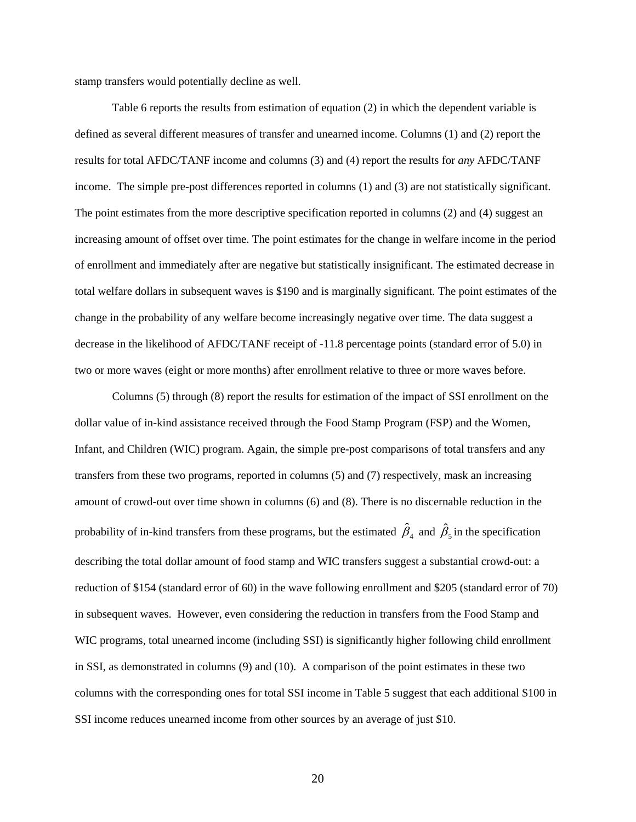stamp transfers would potentially decline as well.

Table 6 reports the results from estimation of equation (2) in which the dependent variable is defined as several different measures of transfer and unearned income. Columns (1) and (2) report the results for total AFDC/TANF income and columns (3) and (4) report the results for *any* AFDC/TANF income. The simple pre-post differences reported in columns (1) and (3) are not statistically significant. The point estimates from the more descriptive specification reported in columns (2) and (4) suggest an increasing amount of offset over time. The point estimates for the change in welfare income in the period of enrollment and immediately after are negative but statistically insignificant. The estimated decrease in total welfare dollars in subsequent waves is \$190 and is marginally significant. The point estimates of the change in the probability of any welfare become increasingly negative over time. The data suggest a decrease in the likelihood of AFDC/TANF receipt of -11.8 percentage points (standard error of 5.0) in two or more waves (eight or more months) after enrollment relative to three or more waves before.

Columns (5) through (8) report the results for estimation of the impact of SSI enrollment on the dollar value of in-kind assistance received through the Food Stamp Program (FSP) and the Women, Infant, and Children (WIC) program. Again, the simple pre-post comparisons of total transfers and any transfers from these two programs, reported in columns (5) and (7) respectively, mask an increasing amount of crowd-out over time shown in columns (6) and (8). There is no discernable reduction in the probability of in-kind transfers from these programs, but the estimated  $\hat{\beta}_4$  and  $\hat{\beta}_5$  in the specification describing the total dollar amount of food stamp and WIC transfers suggest a substantial crowd-out: a reduction of \$154 (standard error of 60) in the wave following enrollment and \$205 (standard error of 70) in subsequent waves. However, even considering the reduction in transfers from the Food Stamp and WIC programs, total unearned income (including SSI) is significantly higher following child enrollment in SSI, as demonstrated in columns (9) and (10). A comparison of the point estimates in these two columns with the corresponding ones for total SSI income in Table 5 suggest that each additional \$100 in SSI income reduces unearned income from other sources by an average of just \$10.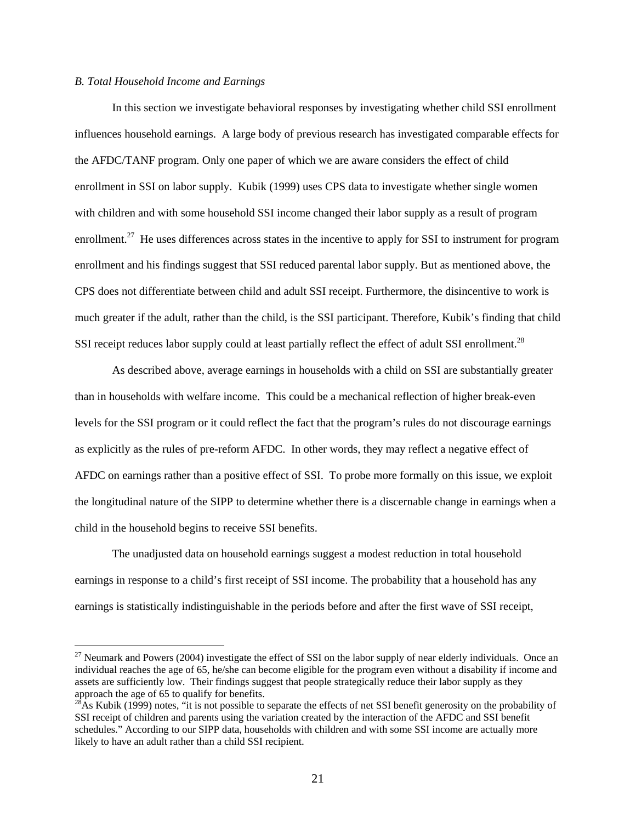#### *B. Total Household Income and Earnings*

 $\overline{a}$ 

In this section we investigate behavioral responses by investigating whether child SSI enrollment influences household earnings. A large body of previous research has investigated comparable effects for the AFDC/TANF program. Only one paper of which we are aware considers the effect of child enrollment in SSI on labor supply. Kubik (1999) uses CPS data to investigate whether single women with children and with some household SSI income changed their labor supply as a result of program enrollment.<sup>27</sup> He uses differences across states in the incentive to apply for SSI to instrument for program enrollment and his findings suggest that SSI reduced parental labor supply. But as mentioned above, the CPS does not differentiate between child and adult SSI receipt. Furthermore, the disincentive to work is much greater if the adult, rather than the child, is the SSI participant. Therefore, Kubik's finding that child SSI receipt reduces labor supply could at least partially reflect the effect of adult SSI enrollment.<sup>28</sup>

As described above, average earnings in households with a child on SSI are substantially greater than in households with welfare income. This could be a mechanical reflection of higher break-even levels for the SSI program or it could reflect the fact that the program's rules do not discourage earnings as explicitly as the rules of pre-reform AFDC. In other words, they may reflect a negative effect of AFDC on earnings rather than a positive effect of SSI. To probe more formally on this issue, we exploit the longitudinal nature of the SIPP to determine whether there is a discernable change in earnings when a child in the household begins to receive SSI benefits.

The unadjusted data on household earnings suggest a modest reduction in total household earnings in response to a child's first receipt of SSI income. The probability that a household has any earnings is statistically indistinguishable in the periods before and after the first wave of SSI receipt,

 $27$  Neumark and Powers (2004) investigate the effect of SSI on the labor supply of near elderly individuals. Once an individual reaches the age of 65, he/she can become eligible for the program even without a disability if income and assets are sufficiently low. Their findings suggest that people strategically reduce their labor supply as they approach the age of 65 to qualify for benefits.

 $^{28}$ As Kubik (1999) notes, "it is not possible to separate the effects of net SSI benefit generosity on the probability of SSI receipt of children and parents using the variation created by the interaction of the AFDC and SSI benefit schedules." According to our SIPP data, households with children and with some SSI income are actually more likely to have an adult rather than a child SSI recipient.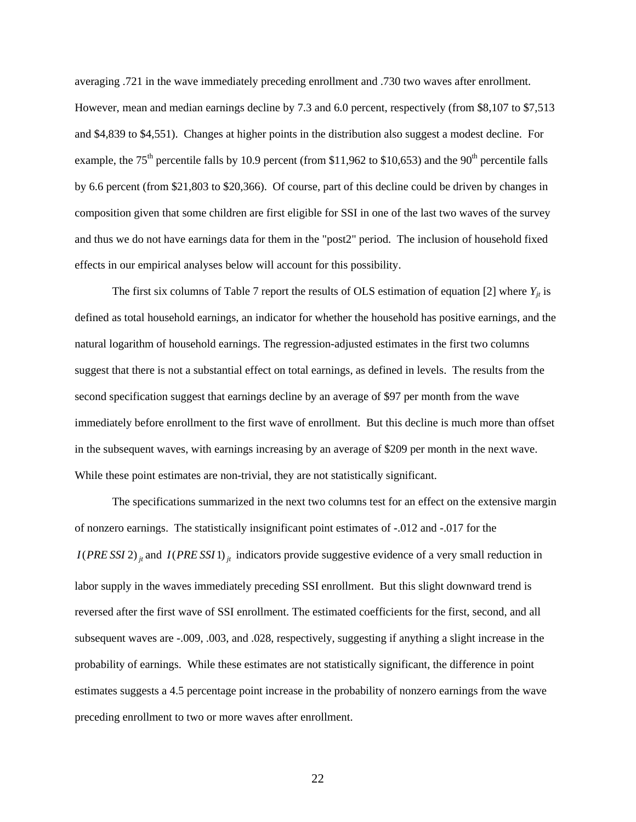averaging .721 in the wave immediately preceding enrollment and .730 two waves after enrollment. However, mean and median earnings decline by 7.3 and 6.0 percent, respectively (from \$8,107 to \$7,513 and \$4,839 to \$4,551). Changes at higher points in the distribution also suggest a modest decline. For example, the 75<sup>th</sup> percentile falls by 10.9 percent (from \$11,962 to \$10,653) and the 90<sup>th</sup> percentile falls by 6.6 percent (from \$21,803 to \$20,366). Of course, part of this decline could be driven by changes in composition given that some children are first eligible for SSI in one of the last two waves of the survey and thus we do not have earnings data for them in the "post2" period. The inclusion of household fixed effects in our empirical analyses below will account for this possibility.

The first six columns of Table 7 report the results of OLS estimation of equation [2] where  $Y_{it}$  is defined as total household earnings, an indicator for whether the household has positive earnings, and the natural logarithm of household earnings. The regression-adjusted estimates in the first two columns suggest that there is not a substantial effect on total earnings, as defined in levels. The results from the second specification suggest that earnings decline by an average of \$97 per month from the wave immediately before enrollment to the first wave of enrollment. But this decline is much more than offset in the subsequent waves, with earnings increasing by an average of \$209 per month in the next wave. While these point estimates are non-trivial, they are not statistically significant.

The specifications summarized in the next two columns test for an effect on the extensive margin of nonzero earnings. The statistically insignificant point estimates of -.012 and -.017 for the *I*(*PRE SSI* 2) *j<sub>t</sub>* and *I*(*PRE SSI* 1) *j<sub>t</sub>* indicators provide suggestive evidence of a very small reduction in labor supply in the waves immediately preceding SSI enrollment. But this slight downward trend is reversed after the first wave of SSI enrollment. The estimated coefficients for the first, second, and all subsequent waves are -.009, .003, and .028, respectively, suggesting if anything a slight increase in the probability of earnings. While these estimates are not statistically significant, the difference in point estimates suggests a 4.5 percentage point increase in the probability of nonzero earnings from the wave preceding enrollment to two or more waves after enrollment.

22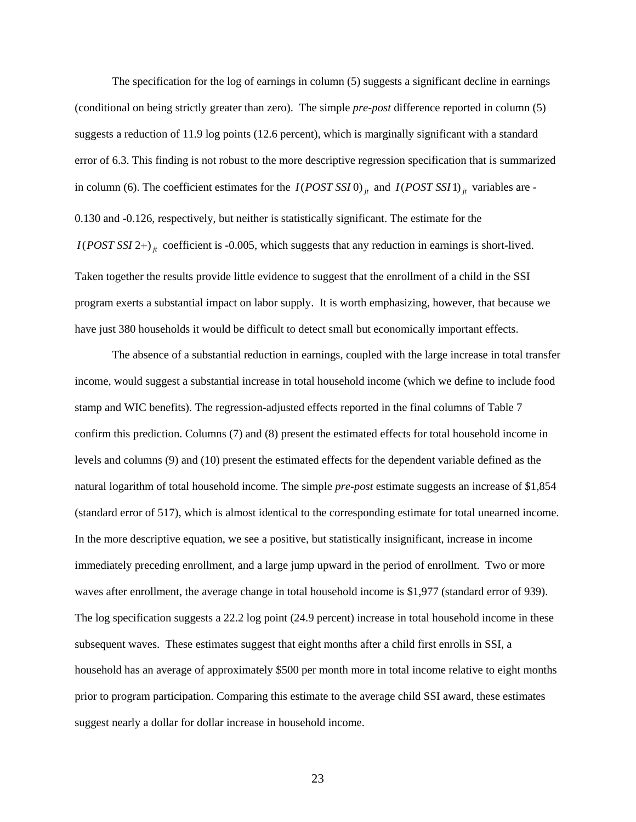The specification for the log of earnings in column (5) suggests a significant decline in earnings (conditional on being strictly greater than zero). The simple *pre-post* difference reported in column (5) suggests a reduction of 11.9 log points (12.6 percent), which is marginally significant with a standard error of 6.3. This finding is not robust to the more descriptive regression specification that is summarized in column (6). The coefficient estimates for the  $I(POST SSI0)_{it}$  and  $I(POST SSI1)_{it}$  variables are -0.130 and -0.126, respectively, but neither is statistically significant. The estimate for the  $I(POST SSI 2+)$ <sub>it</sub> coefficient is -0.005, which suggests that any reduction in earnings is short-lived. Taken together the results provide little evidence to suggest that the enrollment of a child in the SSI program exerts a substantial impact on labor supply. It is worth emphasizing, however, that because we have just 380 households it would be difficult to detect small but economically important effects.

The absence of a substantial reduction in earnings, coupled with the large increase in total transfer income, would suggest a substantial increase in total household income (which we define to include food stamp and WIC benefits). The regression-adjusted effects reported in the final columns of Table 7 confirm this prediction. Columns (7) and (8) present the estimated effects for total household income in levels and columns (9) and (10) present the estimated effects for the dependent variable defined as the natural logarithm of total household income. The simple *pre-post* estimate suggests an increase of \$1,854 (standard error of 517), which is almost identical to the corresponding estimate for total unearned income. In the more descriptive equation, we see a positive, but statistically insignificant, increase in income immediately preceding enrollment, and a large jump upward in the period of enrollment. Two or more waves after enrollment, the average change in total household income is \$1,977 (standard error of 939). The log specification suggests a 22.2 log point (24.9 percent) increase in total household income in these subsequent waves. These estimates suggest that eight months after a child first enrolls in SSI, a household has an average of approximately \$500 per month more in total income relative to eight months prior to program participation. Comparing this estimate to the average child SSI award, these estimates suggest nearly a dollar for dollar increase in household income.

23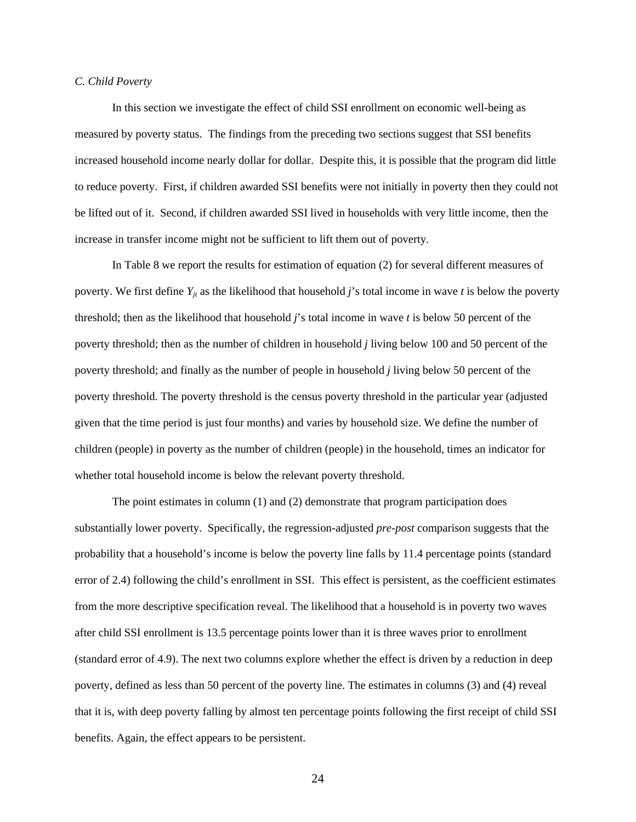#### *C. Child Poverty*

In this section we investigate the effect of child SSI enrollment on economic well-being as measured by poverty status. The findings from the preceding two sections suggest that SSI benefits increased household income nearly dollar for dollar. Despite this, it is possible that the program did little to reduce poverty. First, if children awarded SSI benefits were not initially in poverty then they could not be lifted out of it. Second, if children awarded SSI lived in households with very little income, then the increase in transfer income might not be sufficient to lift them out of poverty.

In Table 8 we report the results for estimation of equation (2) for several different measures of poverty. We first define  $Y_{it}$  as the likelihood that household *j*'s total income in wave *t* is below the poverty threshold; then as the likelihood that household *j*'s total income in wave *t* is below 50 percent of the poverty threshold; then as the number of children in household *j* living below 100 and 50 percent of the poverty threshold; and finally as the number of people in household *j* living below 50 percent of the poverty threshold. The poverty threshold is the census poverty threshold in the particular year (adjusted given that the time period is just four months) and varies by household size. We define the number of children (people) in poverty as the number of children (people) in the household, times an indicator for whether total household income is below the relevant poverty threshold.

The point estimates in column (1) and (2) demonstrate that program participation does substantially lower poverty. Specifically, the regression-adjusted *pre-post* comparison suggests that the probability that a household's income is below the poverty line falls by 11.4 percentage points (standard error of 2.4) following the child's enrollment in SSI. This effect is persistent, as the coefficient estimates from the more descriptive specification reveal. The likelihood that a household is in poverty two waves after child SSI enrollment is 13.5 percentage points lower than it is three waves prior to enrollment (standard error of 4.9). The next two columns explore whether the effect is driven by a reduction in deep poverty, defined as less than 50 percent of the poverty line. The estimates in columns (3) and (4) reveal that it is, with deep poverty falling by almost ten percentage points following the first receipt of child SSI benefits. Again, the effect appears to be persistent.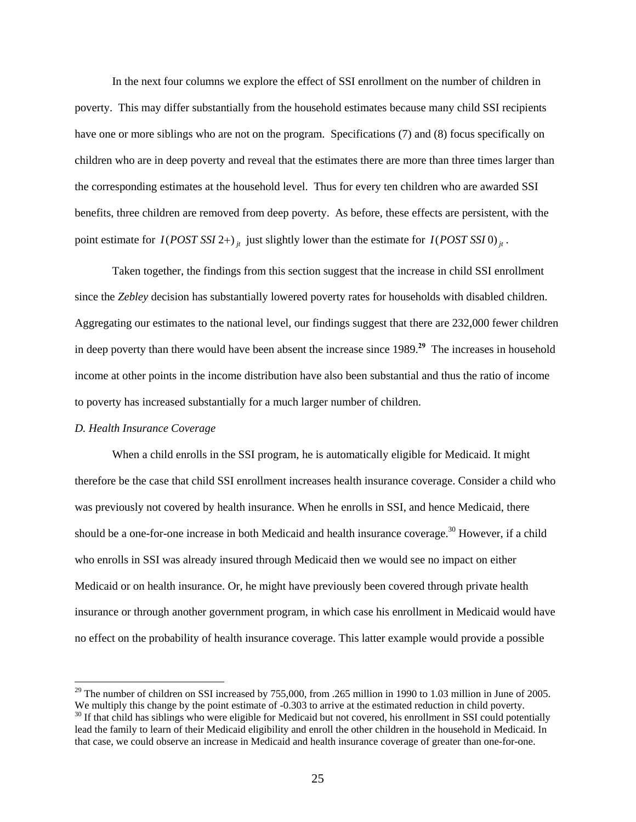In the next four columns we explore the effect of SSI enrollment on the number of children in poverty. This may differ substantially from the household estimates because many child SSI recipients have one or more siblings who are not on the program. Specifications (7) and (8) focus specifically on children who are in deep poverty and reveal that the estimates there are more than three times larger than the corresponding estimates at the household level. Thus for every ten children who are awarded SSI benefits, three children are removed from deep poverty. As before, these effects are persistent, with the point estimate for  $I(POST SSI 2+)_{it}$  just slightly lower than the estimate for  $I(POST SSI 0)_{it}$ .

Taken together, the findings from this section suggest that the increase in child SSI enrollment since the *Zebley* decision has substantially lowered poverty rates for households with disabled children. Aggregating our estimates to the national level, our findings suggest that there are 232,000 fewer children in deep poverty than there would have been absent the increase since 1989.**<sup>29</sup>** The increases in household income at other points in the income distribution have also been substantial and thus the ratio of income to poverty has increased substantially for a much larger number of children.

# *D. Health Insurance Coverage*

 $\overline{a}$ 

 When a child enrolls in the SSI program, he is automatically eligible for Medicaid. It might therefore be the case that child SSI enrollment increases health insurance coverage. Consider a child who was previously not covered by health insurance. When he enrolls in SSI, and hence Medicaid, there should be a one-for-one increase in both Medicaid and health insurance coverage.<sup>30</sup> However, if a child who enrolls in SSI was already insured through Medicaid then we would see no impact on either Medicaid or on health insurance. Or, he might have previously been covered through private health insurance or through another government program, in which case his enrollment in Medicaid would have no effect on the probability of health insurance coverage. This latter example would provide a possible

that case, we could observe an increase in Medicaid and health insurance coverage of greater than one-for-one.

<sup>&</sup>lt;sup>29</sup> The number of children on SSI increased by 755,000, from .265 million in 1990 to 1.03 million in June of 2005.<br>We multiply this change by the point estimate of -0.303 to arrive at the estimated reduction in child pov  $30$  If that child has siblings who were eligible for Medicaid but not covered, his enrollment in SSI could potentially lead the family to learn of their Medicaid eligibility and enroll the other children in the household in Medicaid. In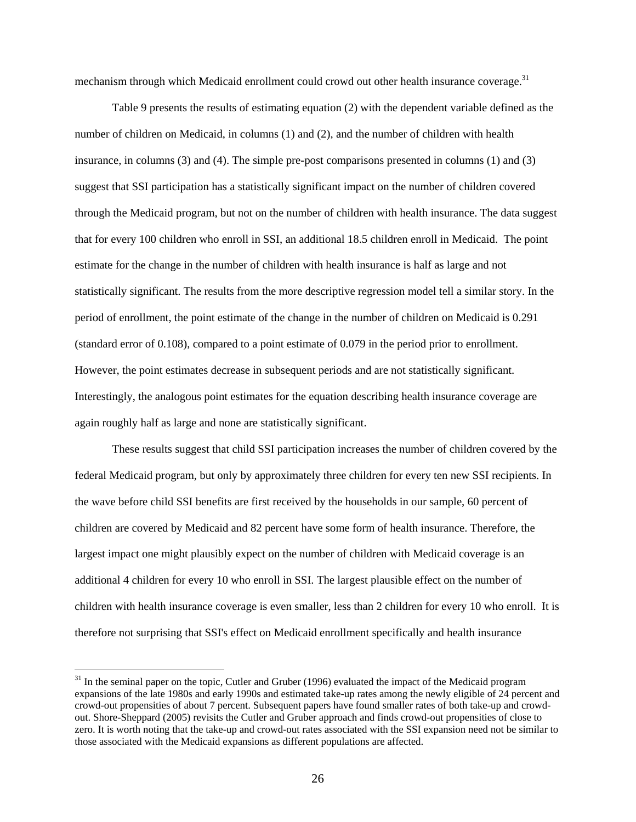mechanism through which Medicaid enrollment could crowd out other health insurance coverage.<sup>31</sup>

Table 9 presents the results of estimating equation (2) with the dependent variable defined as the number of children on Medicaid, in columns (1) and (2), and the number of children with health insurance, in columns (3) and (4). The simple pre-post comparisons presented in columns (1) and (3) suggest that SSI participation has a statistically significant impact on the number of children covered through the Medicaid program, but not on the number of children with health insurance. The data suggest that for every 100 children who enroll in SSI, an additional 18.5 children enroll in Medicaid. The point estimate for the change in the number of children with health insurance is half as large and not statistically significant. The results from the more descriptive regression model tell a similar story. In the period of enrollment, the point estimate of the change in the number of children on Medicaid is 0.291 (standard error of 0.108), compared to a point estimate of 0.079 in the period prior to enrollment. However, the point estimates decrease in subsequent periods and are not statistically significant. Interestingly, the analogous point estimates for the equation describing health insurance coverage are again roughly half as large and none are statistically significant.

 These results suggest that child SSI participation increases the number of children covered by the federal Medicaid program, but only by approximately three children for every ten new SSI recipients. In the wave before child SSI benefits are first received by the households in our sample, 60 percent of children are covered by Medicaid and 82 percent have some form of health insurance. Therefore, the largest impact one might plausibly expect on the number of children with Medicaid coverage is an additional 4 children for every 10 who enroll in SSI. The largest plausible effect on the number of children with health insurance coverage is even smaller, less than 2 children for every 10 who enroll. It is therefore not surprising that SSI's effect on Medicaid enrollment specifically and health insurance

<sup>&</sup>lt;sup>31</sup> In the seminal paper on the topic, Cutler and Gruber (1996) evaluated the impact of the Medicaid program expansions of the late 1980s and early 1990s and estimated take-up rates among the newly eligible of 24 percent and crowd-out propensities of about 7 percent. Subsequent papers have found smaller rates of both take-up and crowdout. Shore-Sheppard (2005) revisits the Cutler and Gruber approach and finds crowd-out propensities of close to zero. It is worth noting that the take-up and crowd-out rates associated with the SSI expansion need not be similar to those associated with the Medicaid expansions as different populations are affected.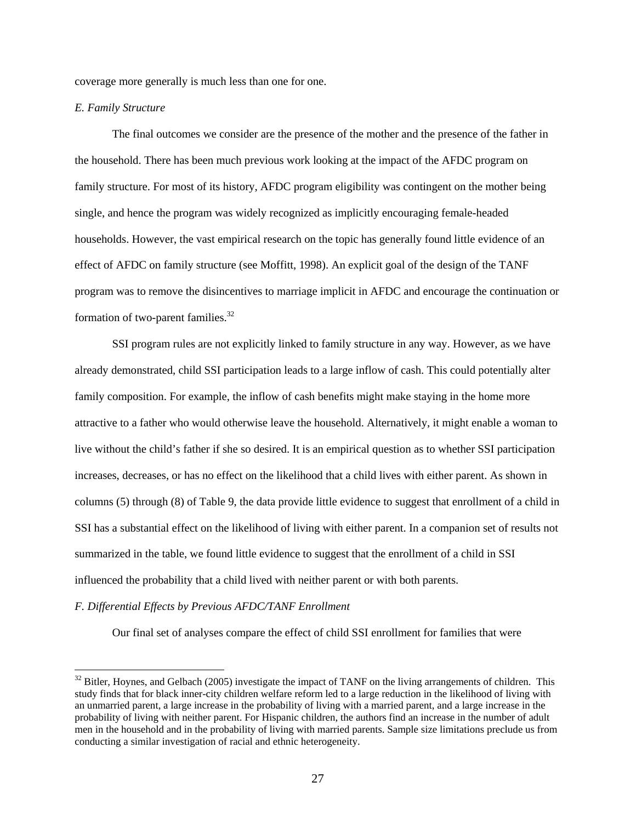coverage more generally is much less than one for one.

#### *E. Family Structure*

The final outcomes we consider are the presence of the mother and the presence of the father in the household. There has been much previous work looking at the impact of the AFDC program on family structure. For most of its history, AFDC program eligibility was contingent on the mother being single, and hence the program was widely recognized as implicitly encouraging female-headed households. However, the vast empirical research on the topic has generally found little evidence of an effect of AFDC on family structure (see Moffitt, 1998). An explicit goal of the design of the TANF program was to remove the disincentives to marriage implicit in AFDC and encourage the continuation or formation of two-parent families. $32$ 

SSI program rules are not explicitly linked to family structure in any way. However, as we have already demonstrated, child SSI participation leads to a large inflow of cash. This could potentially alter family composition. For example, the inflow of cash benefits might make staying in the home more attractive to a father who would otherwise leave the household. Alternatively, it might enable a woman to live without the child's father if she so desired. It is an empirical question as to whether SSI participation increases, decreases, or has no effect on the likelihood that a child lives with either parent. As shown in columns (5) through (8) of Table 9, the data provide little evidence to suggest that enrollment of a child in SSI has a substantial effect on the likelihood of living with either parent. In a companion set of results not summarized in the table, we found little evidence to suggest that the enrollment of a child in SSI influenced the probability that a child lived with neither parent or with both parents.

# *F. Differential Effects by Previous AFDC/TANF Enrollment*

 $\overline{a}$ 

Our final set of analyses compare the effect of child SSI enrollment for families that were

<sup>&</sup>lt;sup>32</sup> Bitler, Hoynes, and Gelbach (2005) investigate the impact of TANF on the living arrangements of children. This study finds that for black inner-city children welfare reform led to a large reduction in the likelihood of living with an unmarried parent, a large increase in the probability of living with a married parent, and a large increase in the probability of living with neither parent. For Hispanic children, the authors find an increase in the number of adult men in the household and in the probability of living with married parents. Sample size limitations preclude us from conducting a similar investigation of racial and ethnic heterogeneity.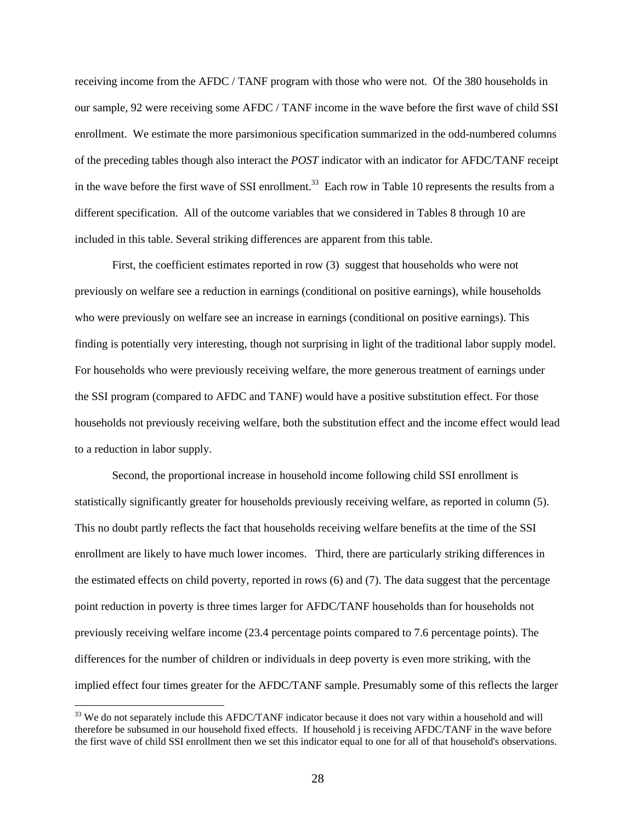receiving income from the AFDC / TANF program with those who were not. Of the 380 households in our sample, 92 were receiving some AFDC / TANF income in the wave before the first wave of child SSI enrollment. We estimate the more parsimonious specification summarized in the odd-numbered columns of the preceding tables though also interact the *POST* indicator with an indicator for AFDC/TANF receipt in the wave before the first wave of SSI enrollment.<sup>33</sup> Each row in Table 10 represents the results from a different specification. All of the outcome variables that we considered in Tables 8 through 10 are included in this table. Several striking differences are apparent from this table.

First, the coefficient estimates reported in row (3) suggest that households who were not previously on welfare see a reduction in earnings (conditional on positive earnings), while households who were previously on welfare see an increase in earnings (conditional on positive earnings). This finding is potentially very interesting, though not surprising in light of the traditional labor supply model. For households who were previously receiving welfare, the more generous treatment of earnings under the SSI program (compared to AFDC and TANF) would have a positive substitution effect. For those households not previously receiving welfare, both the substitution effect and the income effect would lead to a reduction in labor supply.

Second, the proportional increase in household income following child SSI enrollment is statistically significantly greater for households previously receiving welfare, as reported in column (5). This no doubt partly reflects the fact that households receiving welfare benefits at the time of the SSI enrollment are likely to have much lower incomes. Third, there are particularly striking differences in the estimated effects on child poverty, reported in rows (6) and (7). The data suggest that the percentage point reduction in poverty is three times larger for AFDC/TANF households than for households not previously receiving welfare income (23.4 percentage points compared to 7.6 percentage points). The differences for the number of children or individuals in deep poverty is even more striking, with the implied effect four times greater for the AFDC/TANF sample. Presumably some of this reflects the larger

<sup>&</sup>lt;sup>33</sup> We do not separately include this AFDC/TANF indicator because it does not vary within a household and will therefore be subsumed in our household fixed effects. If household j is receiving AFDC/TANF in the wave before the first wave of child SSI enrollment then we set this indicator equal to one for all of that household's observations.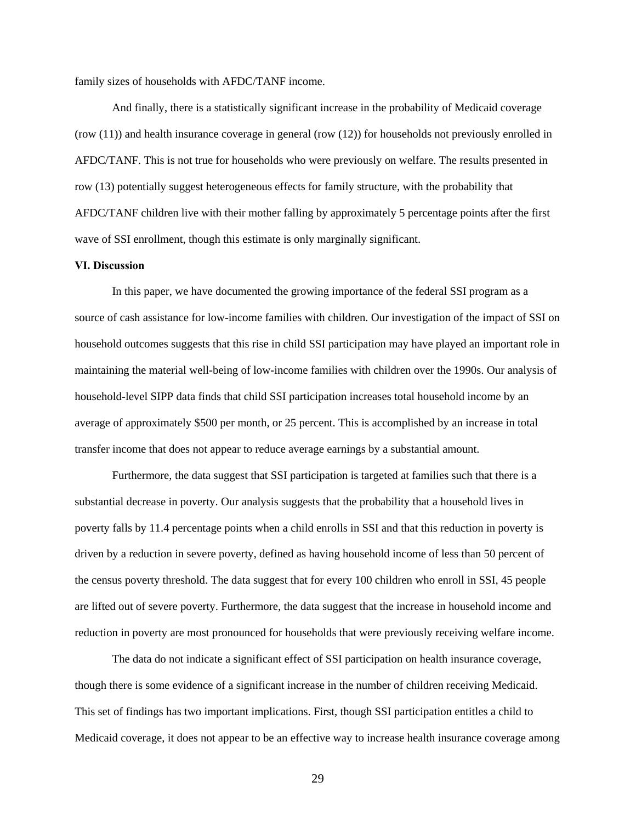family sizes of households with AFDC/TANF income.

And finally, there is a statistically significant increase in the probability of Medicaid coverage (row (11)) and health insurance coverage in general (row (12)) for households not previously enrolled in AFDC/TANF. This is not true for households who were previously on welfare. The results presented in row (13) potentially suggest heterogeneous effects for family structure, with the probability that AFDC/TANF children live with their mother falling by approximately 5 percentage points after the first wave of SSI enrollment, though this estimate is only marginally significant.

#### **VI. Discussion**

In this paper, we have documented the growing importance of the federal SSI program as a source of cash assistance for low-income families with children. Our investigation of the impact of SSI on household outcomes suggests that this rise in child SSI participation may have played an important role in maintaining the material well-being of low-income families with children over the 1990s. Our analysis of household-level SIPP data finds that child SSI participation increases total household income by an average of approximately \$500 per month, or 25 percent. This is accomplished by an increase in total transfer income that does not appear to reduce average earnings by a substantial amount.

Furthermore, the data suggest that SSI participation is targeted at families such that there is a substantial decrease in poverty. Our analysis suggests that the probability that a household lives in poverty falls by 11.4 percentage points when a child enrolls in SSI and that this reduction in poverty is driven by a reduction in severe poverty, defined as having household income of less than 50 percent of the census poverty threshold. The data suggest that for every 100 children who enroll in SSI, 45 people are lifted out of severe poverty. Furthermore, the data suggest that the increase in household income and reduction in poverty are most pronounced for households that were previously receiving welfare income.

The data do not indicate a significant effect of SSI participation on health insurance coverage, though there is some evidence of a significant increase in the number of children receiving Medicaid. This set of findings has two important implications. First, though SSI participation entitles a child to Medicaid coverage, it does not appear to be an effective way to increase health insurance coverage among

29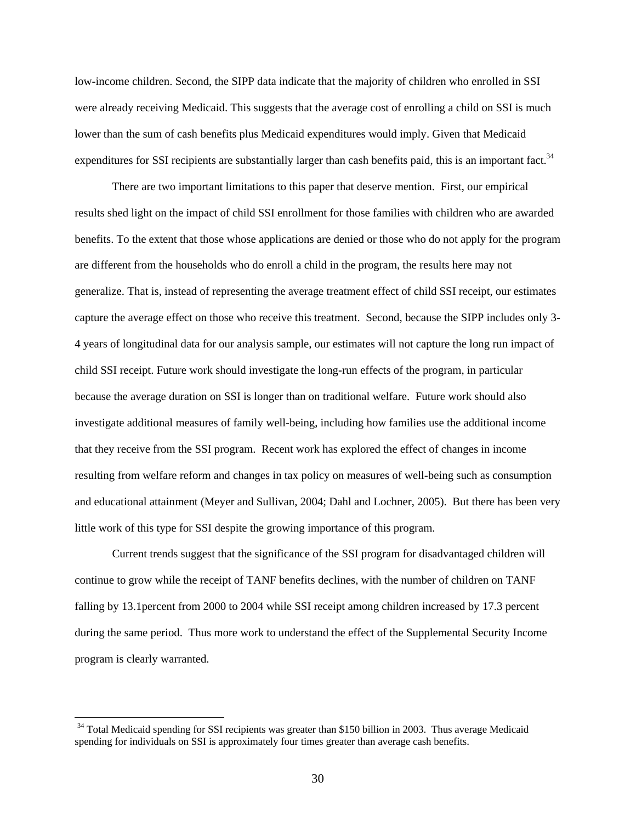low-income children. Second, the SIPP data indicate that the majority of children who enrolled in SSI were already receiving Medicaid. This suggests that the average cost of enrolling a child on SSI is much lower than the sum of cash benefits plus Medicaid expenditures would imply. Given that Medicaid expenditures for SSI recipients are substantially larger than cash benefits paid, this is an important fact.<sup>34</sup>

There are two important limitations to this paper that deserve mention. First, our empirical results shed light on the impact of child SSI enrollment for those families with children who are awarded benefits. To the extent that those whose applications are denied or those who do not apply for the program are different from the households who do enroll a child in the program, the results here may not generalize. That is, instead of representing the average treatment effect of child SSI receipt, our estimates capture the average effect on those who receive this treatment. Second, because the SIPP includes only 3- 4 years of longitudinal data for our analysis sample, our estimates will not capture the long run impact of child SSI receipt. Future work should investigate the long-run effects of the program, in particular because the average duration on SSI is longer than on traditional welfare. Future work should also investigate additional measures of family well-being, including how families use the additional income that they receive from the SSI program. Recent work has explored the effect of changes in income resulting from welfare reform and changes in tax policy on measures of well-being such as consumption and educational attainment (Meyer and Sullivan, 2004; Dahl and Lochner, 2005). But there has been very little work of this type for SSI despite the growing importance of this program.

Current trends suggest that the significance of the SSI program for disadvantaged children will continue to grow while the receipt of TANF benefits declines, with the number of children on TANF falling by 13.1percent from 2000 to 2004 while SSI receipt among children increased by 17.3 percent during the same period. Thus more work to understand the effect of the Supplemental Security Income program is clearly warranted.

<sup>&</sup>lt;sup>34</sup> Total Medicaid spending for SSI recipients was greater than \$150 billion in 2003. Thus average Medicaid spending for individuals on SSI is approximately four times greater than average cash benefits.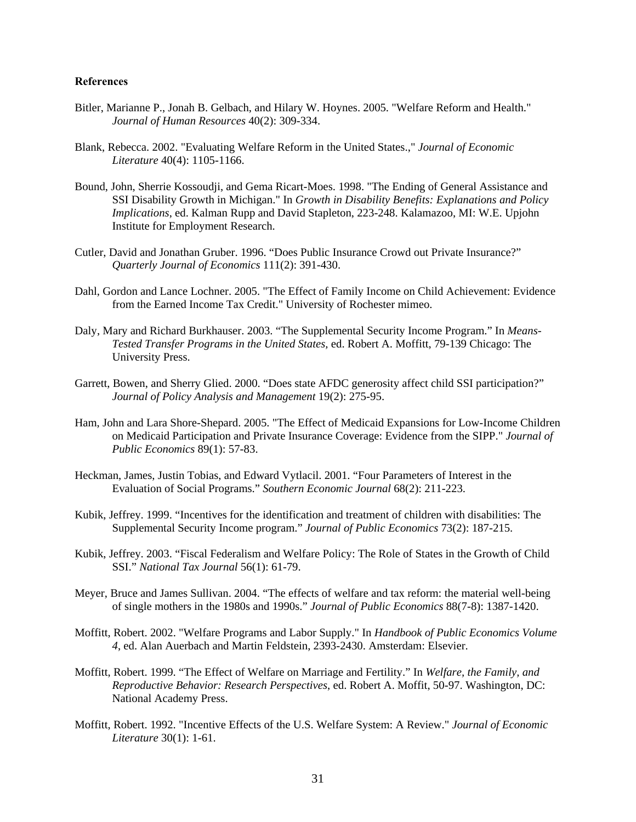#### **References**

- Bitler, Marianne P., Jonah B. Gelbach, and Hilary W. Hoynes. 2005. "Welfare Reform and Health." *Journal of Human Resources* 40(2): 309-334.
- Blank, Rebecca. 2002. "Evaluating Welfare Reform in the United States.," *Journal of Economic Literature* 40(4): 1105-1166.
- Bound, John, Sherrie Kossoudji, and Gema Ricart-Moes. 1998. "The Ending of General Assistance and SSI Disability Growth in Michigan." In *Growth in Disability Benefits: Explanations and Policy Implications*, ed. Kalman Rupp and David Stapleton, 223-248. Kalamazoo, MI: W.E. Upjohn Institute for Employment Research.
- Cutler, David and Jonathan Gruber. 1996. "Does Public Insurance Crowd out Private Insurance?" *Quarterly Journal of Economics* 111(2): 391-430.
- Dahl, Gordon and Lance Lochner. 2005. "The Effect of Family Income on Child Achievement: Evidence from the Earned Income Tax Credit." University of Rochester mimeo.
- Daly, Mary and Richard Burkhauser. 2003. "The Supplemental Security Income Program." In *Means-Tested Transfer Programs in the United States,* ed. Robert A. Moffitt, 79-139 Chicago: The University Press.
- Garrett, Bowen, and Sherry Glied. 2000. "Does state AFDC generosity affect child SSI participation?" *Journal of Policy Analysis and Management* 19(2): 275-95.
- Ham, John and Lara Shore-Shepard. 2005. "The Effect of Medicaid Expansions for Low-Income Children on Medicaid Participation and Private Insurance Coverage: Evidence from the SIPP." *Journal of Public Economics* 89(1): 57-83.
- Heckman, James, Justin Tobias, and Edward Vytlacil. 2001. "Four Parameters of Interest in the Evaluation of Social Programs." *Southern Economic Journal* 68(2): 211-223.
- Kubik, Jeffrey. 1999. "Incentives for the identification and treatment of children with disabilities: The Supplemental Security Income program." *Journal of Public Economics* 73(2): 187-215.
- Kubik, Jeffrey. 2003. "Fiscal Federalism and Welfare Policy: The Role of States in the Growth of Child SSI." *National Tax Journal* 56(1): 61-79.
- Meyer, Bruce and James Sullivan. 2004. "The effects of welfare and tax reform: the material well-being of single mothers in the 1980s and 1990s." *Journal of Public Economics* 88(7-8): 1387-1420.
- Moffitt, Robert. 2002. "Welfare Programs and Labor Supply." In *Handbook of Public Economics Volume 4*, ed. Alan Auerbach and Martin Feldstein, 2393-2430. Amsterdam: Elsevier.
- Moffitt, Robert. 1999. "The Effect of Welfare on Marriage and Fertility." In *Welfare, the Family, and Reproductive Behavior: Research Perspectives*, ed. Robert A. Moffit, 50-97. Washington, DC: National Academy Press.
- Moffitt, Robert. 1992. "Incentive Effects of the U.S. Welfare System: A Review." *Journal of Economic Literature* 30(1): 1-61.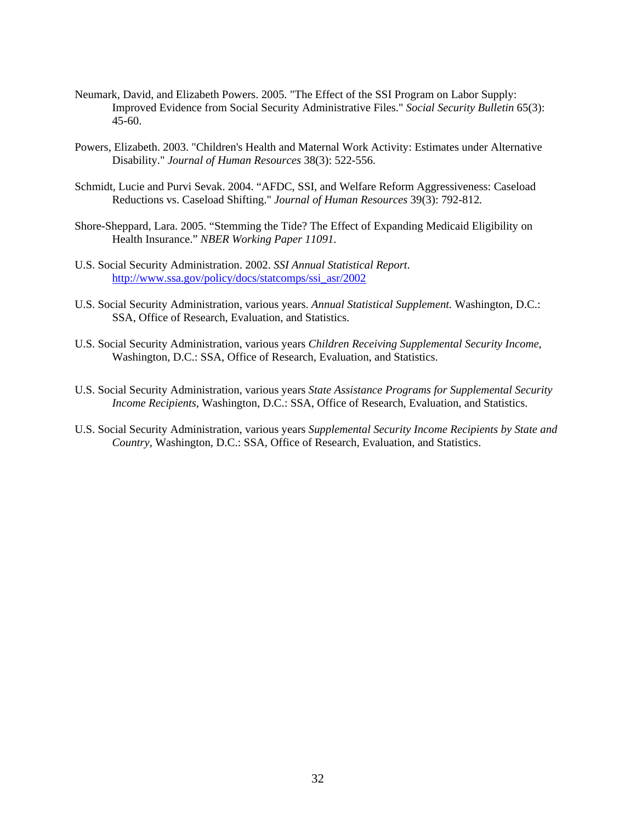- Neumark, David, and Elizabeth Powers. 2005. "The Effect of the SSI Program on Labor Supply: Improved Evidence from Social Security Administrative Files." *Social Security Bulletin* 65(3): 45-60.
- Powers, Elizabeth. 2003. "Children's Health and Maternal Work Activity: Estimates under Alternative Disability." *Journal of Human Resources* 38(3): 522-556.
- Schmidt, Lucie and Purvi Sevak. 2004. "AFDC, SSI, and Welfare Reform Aggressiveness: Caseload Reductions vs. Caseload Shifting." *Journal of Human Resources* 39(3): 792-812*.*
- Shore-Sheppard, Lara. 2005. "Stemming the Tide? The Effect of Expanding Medicaid Eligibility on Health Insurance." *NBER Working Paper 11091*.
- U.S. Social Security Administration. 2002. *SSI Annual Statistical Report*. http://www.ssa.gov/policy/docs/statcomps/ssi\_asr/2002
- U.S. Social Security Administration, various years. *Annual Statistical Supplement.* Washington, D.C.: SSA, Office of Research, Evaluation, and Statistics.
- U.S. Social Security Administration, various years *Children Receiving Supplemental Security Income*, Washington, D.C.: SSA, Office of Research, Evaluation, and Statistics.
- U.S. Social Security Administration, various years *State Assistance Programs for Supplemental Security Income Recipients*, Washington, D.C.: SSA, Office of Research, Evaluation, and Statistics.
- U.S. Social Security Administration, various years *Supplemental Security Income Recipients by State and Country*, Washington, D.C.: SSA, Office of Research, Evaluation, and Statistics.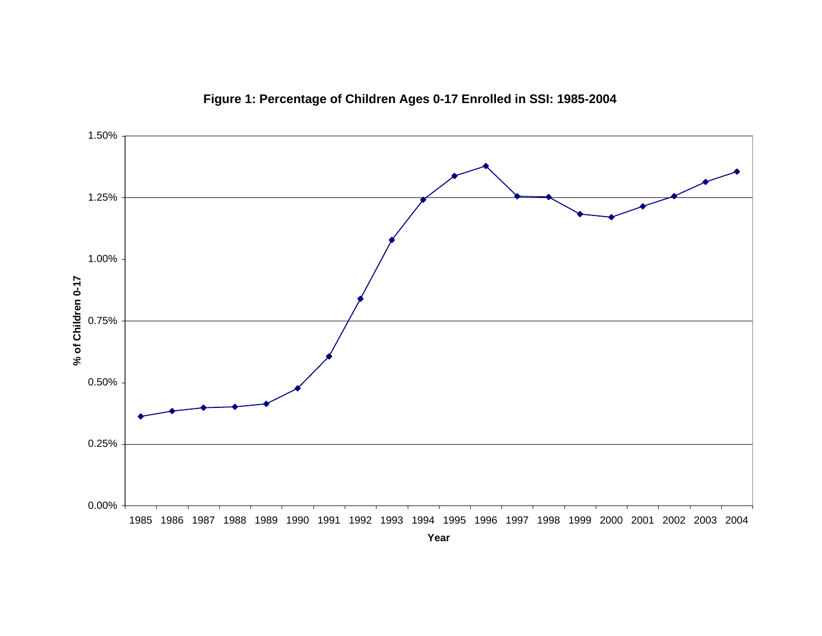

**Figure 1: Percentage of Children Ages 0-17 Enrolled in SSI: 1985-2004**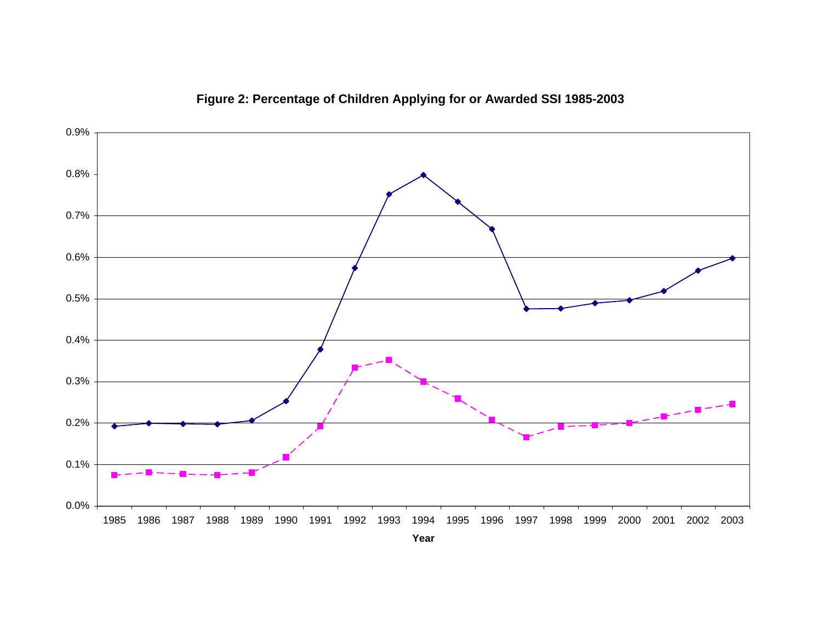

**Figure 2: Percentage of Children Applying for or Awarded SSI 1985-2003**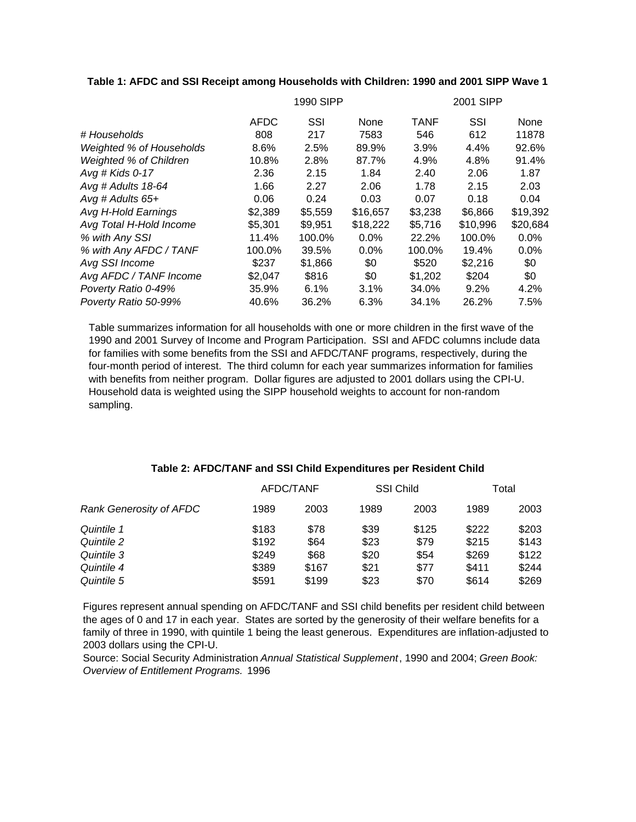# **Table 1: AFDC and SSI Receipt among Households with Children: 1990 and 2001 SIPP Wave 1**

|                          | 1990 SIPP   |         |          | 2001 SIPP   |          |          |
|--------------------------|-------------|---------|----------|-------------|----------|----------|
|                          | <b>AFDC</b> | SSI     | None     | <b>TANF</b> | SSI      | None     |
| # Households             | 808         | 217     | 7583     | 546         | 612      | 11878    |
| Weighted % of Households | 8.6%        | 2.5%    | 89.9%    | 3.9%        | 4.4%     | 92.6%    |
| Weighted % of Children   | 10.8%       | 2.8%    | 87.7%    | 4.9%        | 4.8%     | 91.4%    |
| Avg # Kids 0-17          | 2.36        | 2.15    | 1.84     | 2.40        | 2.06     | 1.87     |
| Avg # Adults 18-64       | 1.66        | 2.27    | 2.06     | 1.78        | 2.15     | 2.03     |
| Avg # Adults $65+$       | 0.06        | 0.24    | 0.03     | 0.07        | 0.18     | 0.04     |
| Avg H-Hold Earnings      | \$2.389     | \$5,559 | \$16,657 | \$3,238     | \$6.866  | \$19,392 |
| Avg Total H-Hold Income  | \$5,301     | \$9,951 | \$18,222 | \$5,716     | \$10,996 | \$20,684 |
| % with Any SSI           | 11.4%       | 100.0%  | 0.0%     | 22.2%       | 100.0%   | 0.0%     |
| % with Any AFDC / TANF   | 100.0%      | 39.5%   | 0.0%     | 100.0%      | 19.4%    | $0.0\%$  |
| Avg SSI Income           | \$237       | \$1,866 | \$0      | \$520       | \$2,216  | \$0      |
| Avg AFDC / TANF Income   | \$2,047     | \$816   | \$0      | \$1,202     | \$204    | \$0      |
| Poverty Ratio 0-49%      | 35.9%       | 6.1%    | 3.1%     | 34.0%       | 9.2%     | 4.2%     |
| Poverty Ratio 50-99%     | 40.6%       | 36.2%   | 6.3%     | 34.1%       | 26.2%    | 7.5%     |

Table summarizes information for all households with one or more children in the first wave of the 1990 and 2001 Survey of Income and Program Participation. SSI and AFDC columns include data for families with some benefits from the SSI and AFDC/TANF programs, respectively, during the four-month period of interest. The third column for each year summarizes information for families with benefits from neither program. Dollar figures are adjusted to 2001 dollars using the CPI-U. Household data is weighted using the SIPP household weights to account for non-random sampling.

|                                |       | <b>SSI Child</b><br>AFDC/TANF |      | Total |       |       |
|--------------------------------|-------|-------------------------------|------|-------|-------|-------|
| <b>Rank Generosity of AFDC</b> | 1989  | 2003                          | 1989 | 2003  | 1989  | 2003  |
| Quintile 1                     | \$183 | \$78                          | \$39 | \$125 | \$222 | \$203 |
| Quintile 2                     | \$192 | \$64                          | \$23 | \$79  | \$215 | \$143 |
| Quintile 3                     | \$249 | \$68                          | \$20 | \$54  | \$269 | \$122 |
| Quintile 4                     | \$389 | \$167                         | \$21 | \$77  | \$411 | \$244 |
| Quintile 5                     | \$591 | \$199                         | \$23 | \$70  | \$614 | \$269 |

### **Table 2: AFDC/TANF and SSI Child Expenditures per Resident Child**

Figures represent annual spending on AFDC/TANF and SSI child benefits per resident child between the ages of 0 and 17 in each year. States are sorted by the generosity of their welfare benefits for a family of three in 1990, with quintile 1 being the least generous. Expenditures are inflation-adjusted to 2003 dollars using the CPI-U.

Source: Social Security Administration *Annual Statistical Supplement*, 1990 and 2004; *Green Book: Overview of Entitlement Programs.* 1996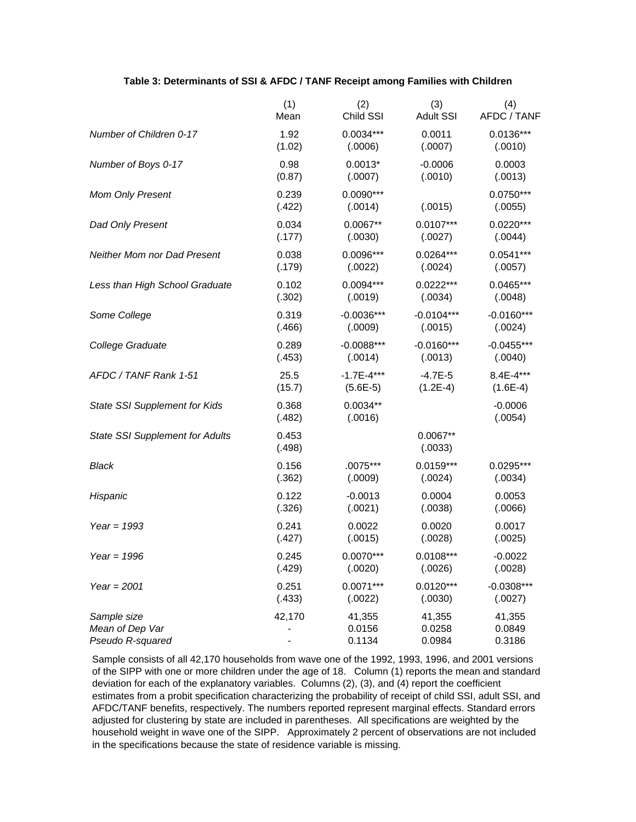#### **Table 3: Determinants of SSI & AFDC / TANF Receipt among Families with Children**

|                                        | (1)             | (2)                    | (3)                   | (4)                    |
|----------------------------------------|-----------------|------------------------|-----------------------|------------------------|
|                                        | Mean            | Child SSI              | <b>Adult SSI</b>      | AFDC / TANF            |
| Number of Children 0-17                | 1.92            | $0.0034***$            | 0.0011                | $0.0136***$            |
|                                        | (1.02)          | (.0006)                | (.0007)               | (.0010)                |
| Number of Boys 0-17                    | 0.98            | $0.0013*$              | $-0.0006$             | 0.0003                 |
|                                        | (0.87)          | (.0007)                | (.0010)               | (.0013)                |
| <b>Mom Only Present</b>                | 0.239<br>(.422) | $0.0090***$<br>(.0014) | (.0015)               | $0.0750***$<br>(.0055) |
| Dad Only Present                       | 0.034           | $0.0067**$             | $0.0107***$           | $0.0220***$            |
|                                        | (.177)          | (.0030)                | (.0027)               | (.0044)                |
| <b>Neither Mom nor Dad Present</b>     | 0.038           | 0.0096***              | $0.0264***$           | $0.0541***$            |
|                                        | (.179)          | (.0022)                | (.0024)               | (.0057)                |
| Less than High School Graduate         | 0.102           | $0.0094***$            | $0.0222***$           | $0.0465***$            |
|                                        | (.302)          | (.0019)                | (.0034)               | (.0048)                |
| Some College                           | 0.319           | $-0.0036***$           | $-0.0104***$          | $-0.0160***$           |
|                                        | (.466)          | (.0009)                | (.0015)               | (.0024)                |
| College Graduate                       | 0.289           | $-0.0088***$           | $-0.0160***$          | $-0.0455***$           |
|                                        | (.453)          | (.0014)                | (.0013)               | (.0040)                |
| AFDC / TANF Rank 1-51                  | 25.5            | $-1.7E - 4***$         | $-4.7E-5$             | 8.4E-4***              |
|                                        | (15.7)          | $(5.6E-5)$             | $(1.2E-4)$            | $(1.6E-4)$             |
| State SSI Supplement for Kids          | 0.368<br>(.482) | $0.0034**$<br>(.0016)  |                       | $-0.0006$<br>(.0054)   |
| <b>State SSI Supplement for Adults</b> | 0.453<br>(.498) |                        | $0.0067**$<br>(.0033) |                        |
| Black                                  | 0.156           | .0075***               | $0.0159***$           | 0.0295***              |
|                                        | (.362)          | (.0009)                | (.0024)               | (.0034)                |
| Hispanic                               | 0.122           | $-0.0013$              | 0.0004                | 0.0053                 |
|                                        | (.326)          | (.0021)                | (.0038)               | (.0066)                |
| Year = $1993$                          | 0.241           | 0.0022                 | 0.0020                | 0.0017                 |
|                                        | (.427)          | (.0015)                | (.0028)               | (.0025)                |
| Year = $1996$                          | 0.245           | $0.0070***$            | $0.0108***$           | $-0.0022$              |
|                                        | (.429)          | (.0020)                | (.0026)               | (.0028)                |
| Year = $2001$                          | 0.251           | $0.0071***$            | $0.0120***$           | $-0.0308***$           |
|                                        | (.433)          | (.0022)                | (.0030)               | (.0027)                |
| Sample size                            | 42,170          | 41,355                 | 41,355                | 41,355                 |
| Mean of Dep Var                        |                 | 0.0156                 | 0.0258                | 0.0849                 |
| Pseudo R-squared                       |                 | 0.1134                 | 0.0984                | 0.3186                 |

Sample consists of all 42,170 households from wave one of the 1992, 1993, 1996, and 2001 versions of the SIPP with one or more children under the age of 18. Column (1) reports the mean and standard deviation for each of the explanatory variables. Columns (2), (3), and (4) report the coefficient estimates from a probit specification characterizing the probability of receipt of child SSI, adult SSI, and AFDC/TANF benefits, respectively. The numbers reported represent marginal effects. Standard errors adjusted for clustering by state are included in parentheses. All specifications are weighted by the household weight in wave one of the SIPP. Approximately 2 percent of observations are not included in the specifications because the state of residence variable is missing.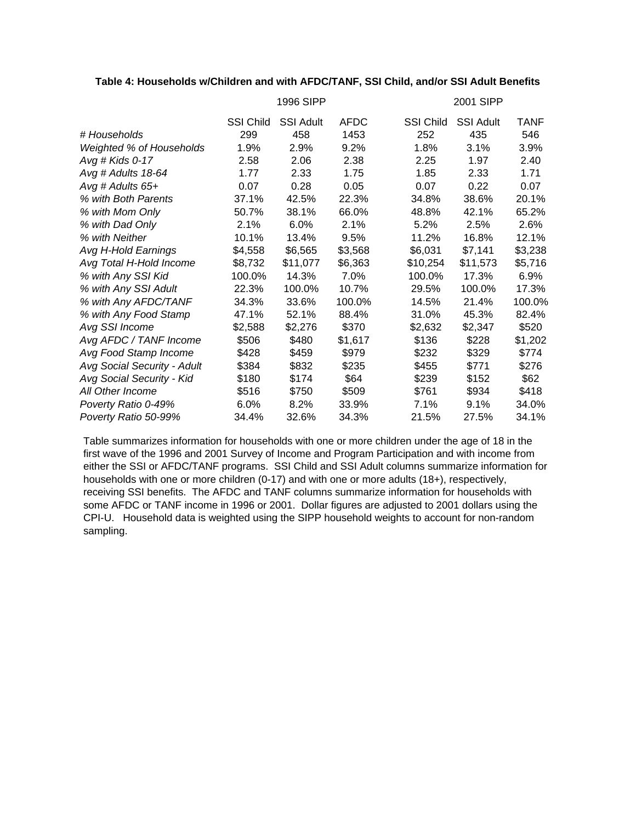# **Table 4: Households w/Children and with AFDC/TANF, SSI Child, and/or SSI Adult Benefits**

|                             |                  | 1996 SIPP        |             |                  | 2001 SIPP        |             |  |  |
|-----------------------------|------------------|------------------|-------------|------------------|------------------|-------------|--|--|
|                             | <b>SSI Child</b> | <b>SSI Adult</b> | <b>AFDC</b> | <b>SSI Child</b> | <b>SSI Adult</b> | <b>TANF</b> |  |  |
| # Households                | 299              | 458              | 1453        | 252              | 435              | 546         |  |  |
| Weighted % of Households    | 1.9%             | 2.9%             | 9.2%        | 1.8%             | 3.1%             | 3.9%        |  |  |
| Avg # Kids 0-17             | 2.58             | 2.06             | 2.38        | 2.25             | 1.97             | 2.40        |  |  |
| Avg # Adults 18-64          | 1.77             | 2.33             | 1.75        | 1.85             | 2.33             | 1.71        |  |  |
| Avg # Adults $65+$          | 0.07             | 0.28             | 0.05        | 0.07             | 0.22             | 0.07        |  |  |
| % with Both Parents         | 37.1%            | 42.5%            | 22.3%       | 34.8%            | 38.6%            | 20.1%       |  |  |
| % with Mom Only             | 50.7%            | 38.1%            | 66.0%       | 48.8%            | 42.1%            | 65.2%       |  |  |
| % with Dad Only             | 2.1%             | 6.0%             | 2.1%        | 5.2%             | 2.5%             | 2.6%        |  |  |
| % with Neither              | 10.1%            | 13.4%            | 9.5%        | 11.2%            | 16.8%            | 12.1%       |  |  |
| Avg H-Hold Earnings         | \$4,558          | \$6,565          | \$3,568     | \$6,031          | \$7,141          | \$3,238     |  |  |
| Avg Total H-Hold Income     | \$8,732          | \$11,077         | \$6,363     | \$10,254         | \$11,573         | \$5,716     |  |  |
| % with Any SSI Kid          | 100.0%           | 14.3%            | 7.0%        | 100.0%           | 17.3%            | 6.9%        |  |  |
| % with Any SSI Adult        | 22.3%            | 100.0%           | 10.7%       | 29.5%            | 100.0%           | 17.3%       |  |  |
| % with Any AFDC/TANF        | 34.3%            | 33.6%            | 100.0%      | 14.5%            | 21.4%            | 100.0%      |  |  |
| % with Any Food Stamp       | 47.1%            | 52.1%            | 88.4%       | 31.0%            | 45.3%            | 82.4%       |  |  |
| Avg SSI Income              | \$2,588          | \$2,276          | \$370       | \$2,632          | \$2,347          | \$520       |  |  |
| Avg AFDC / TANF Income      | \$506            | \$480            | \$1,617     | \$136            | \$228            | \$1,202     |  |  |
| Avg Food Stamp Income       | \$428            | \$459            | \$979       | \$232            | \$329            | \$774       |  |  |
| Avg Social Security - Adult | \$384            | \$832            | \$235       | \$455            | \$771            | \$276       |  |  |
| Avg Social Security - Kid   | \$180            | \$174            | \$64        | \$239            | \$152            | \$62        |  |  |
| All Other Income            | \$516            | \$750            | \$509       | \$761            | \$934            | \$418       |  |  |
| Poverty Ratio 0-49%         | 6.0%             | 8.2%             | 33.9%       | 7.1%             | 9.1%             | 34.0%       |  |  |
| Poverty Ratio 50-99%        | 34.4%            | 32.6%            | 34.3%       | 21.5%            | 27.5%            | 34.1%       |  |  |

Table summarizes information for households with one or more children under the age of 18 in the first wave of the 1996 and 2001 Survey of Income and Program Participation and with income from either the SSI or AFDC/TANF programs. SSI Child and SSI Adult columns summarize information for households with one or more children (0-17) and with one or more adults (18+), respectively, receiving SSI benefits. The AFDC and TANF columns summarize information for households with some AFDC or TANF income in 1996 or 2001. Dollar figures are adjusted to 2001 dollars using the CPI-U. Household data is weighted using the SIPP household weights to account for non-random sampling.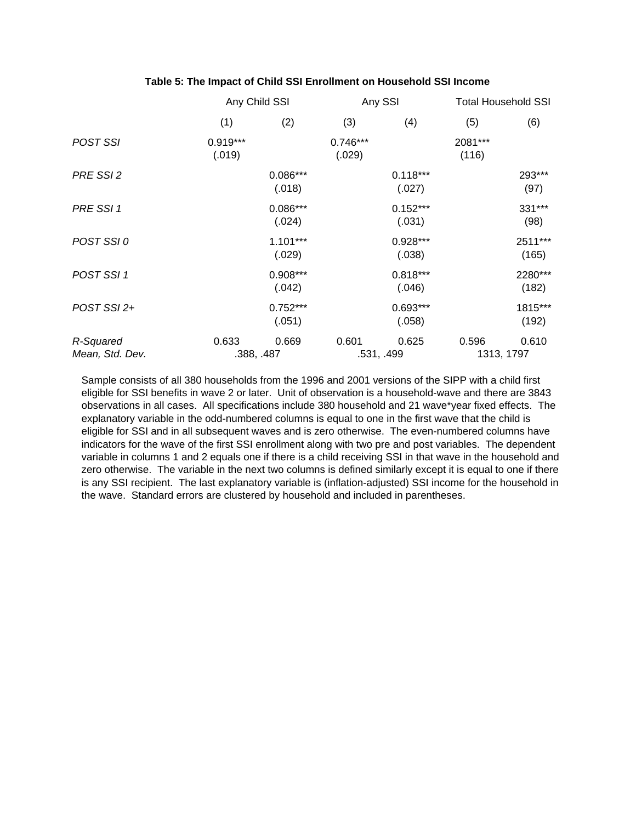| Table 5: The Impact of Child SSI Enrollment on Household SSI Income |  |
|---------------------------------------------------------------------|--|
|---------------------------------------------------------------------|--|

|                              | Any Child SSI        |                      |                      | Any SSI              | <b>Total Household SSI</b> |                     |
|------------------------------|----------------------|----------------------|----------------------|----------------------|----------------------------|---------------------|
|                              | (1)                  | (2)                  | (3)                  | (4)                  | (5)                        | (6)                 |
| POST SSI                     | $0.919***$<br>(.019) |                      | $0.746***$<br>(.029) |                      | 2081***<br>(116)           |                     |
| PRE SSI 2                    |                      | $0.086***$<br>(.018) |                      | $0.118***$<br>(.027) |                            | 293***<br>(97)      |
| PRE SSI 1                    |                      | $0.086***$<br>(.024) |                      | $0.152***$<br>(.031) |                            | 331***<br>(98)      |
| POST SSI0                    |                      | $1.101***$<br>(.029) |                      | $0.928***$<br>(.038) |                            | 2511***<br>(165)    |
| POST SSI 1                   |                      | $0.908***$<br>(.042) |                      | $0.818***$<br>(.046) |                            | 2280***<br>(182)    |
| POST SSI 2+                  |                      | $0.752***$<br>(.051) |                      | $0.693***$<br>(.058) |                            | 1815***<br>(192)    |
| R-Squared<br>Mean, Std. Dev. | 0.633                | 0.669<br>.388, .487  | 0.601                | 0.625<br>.531, .499  | 0.596                      | 0.610<br>1313, 1797 |

Sample consists of all 380 households from the 1996 and 2001 versions of the SIPP with a child first eligible for SSI benefits in wave 2 or later. Unit of observation is a household-wave and there are 3843 observations in all cases. All specifications include 380 household and 21 wave\*year fixed effects. The explanatory variable in the odd-numbered columns is equal to one in the first wave that the child is eligible for SSI and in all subsequent waves and is zero otherwise. The even-numbered columns have indicators for the wave of the first SSI enrollment along with two pre and post variables. The dependent variable in columns 1 and 2 equals one if there is a child receiving SSI in that wave in the household and zero otherwise. The variable in the next two columns is defined similarly except it is equal to one if there is any SSI recipient. The last explanatory variable is (inflation-adjusted) SSI income for the household in the wave. Standard errors are clustered by household and included in parentheses.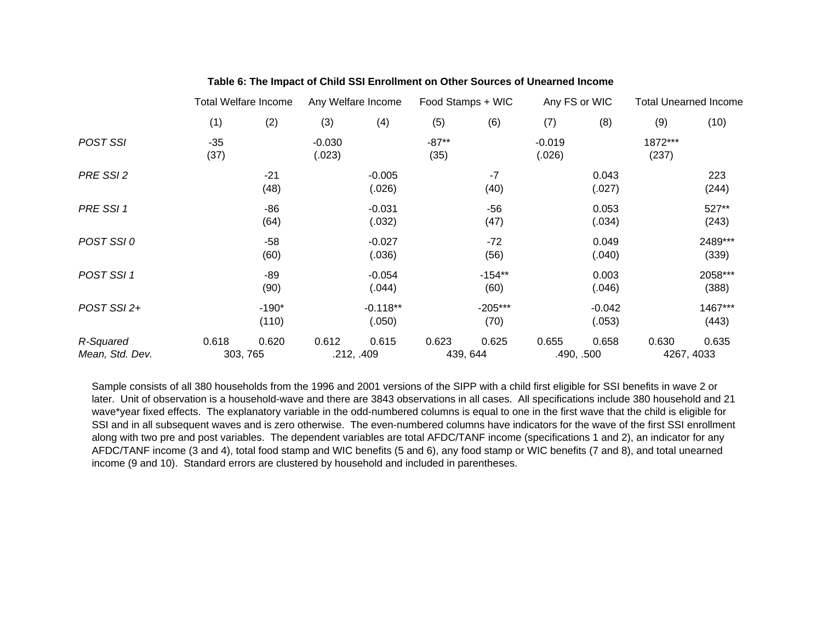|                              |               | <b>Total Welfare Income</b> |                    | Any Welfare Income   |                 | Food Stamps + WIC |                    | Any FS or WIC       | <b>Total Unearned Income</b> |                     |
|------------------------------|---------------|-----------------------------|--------------------|----------------------|-----------------|-------------------|--------------------|---------------------|------------------------------|---------------------|
|                              | (1)           | (2)                         | (3)                | (4)                  | (5)             | (6)               | (7)                | (8)                 | (9)                          | (10)                |
| POST SSI                     | $-35$<br>(37) |                             | $-0.030$<br>(.023) |                      | $-87**$<br>(35) |                   | $-0.019$<br>(.026) |                     | 1872***<br>(237)             |                     |
| PRE SSI 2                    |               | $-21$<br>(48)               |                    | $-0.005$<br>(.026)   |                 | $-7$<br>(40)      |                    | 0.043<br>(.027)     |                              | 223<br>(244)        |
| PRE SSI 1                    |               | $-86$<br>(64)               |                    | $-0.031$<br>(.032)   |                 | $-56$<br>(47)     |                    | 0.053<br>(.034)     |                              | 527**<br>(243)      |
| POST SSI0                    |               | $-58$<br>(60)               |                    | $-0.027$<br>(.036)   |                 | $-72$<br>(56)     |                    | 0.049<br>(.040)     |                              | 2489***<br>(339)    |
| POST SSI 1                   |               | $-89$<br>(90)               |                    | $-0.054$<br>(.044)   |                 | $-154**$<br>(60)  |                    | 0.003<br>(.046)     |                              | 2058***<br>(388)    |
| POST SSI 2+                  |               | $-190*$<br>(110)            |                    | $-0.118**$<br>(.050) |                 | $-205***$<br>(70) |                    | $-0.042$<br>(.053)  |                              | 1467***<br>(443)    |
| R-Squared<br>Mean, Std. Dev. | 0.618         | 0.620<br>303, 765           | 0.612              | 0.615<br>.212, .409  | 0.623           | 0.625<br>439, 644 | 0.655              | 0.658<br>.490, .500 | 0.630                        | 0.635<br>4267, 4033 |

# **Table 6: The Impact of Child SSI Enrollment on Other Sources of Unearned Income**

Sample consists of all 380 households from the 1996 and 2001 versions of the SIPP with a child first eligible for SSI benefits in wave 2 or later. Unit of observation is a household-wave and there are 3843 observations in all cases. All specifications include 380 household and 21 wave\*year fixed effects. The explanatory variable in the odd-numbered columns is equal to one in the first wave that the child is eligible for SSI and in all subsequent waves and is zero otherwise. The even-numbered columns have indicators for the wave of the first SSI enrollment along with two pre and post variables. The dependent variables are total AFDC/TANF income (specifications 1 and 2), an indicator for any AFDC/TANF income (3 and 4), total food stamp and WIC benefits (5 and 6), any food stamp or WIC benefits (7 and 8), and total unearned income (9 and 10). Standard errors are clustered by household and included in parentheses.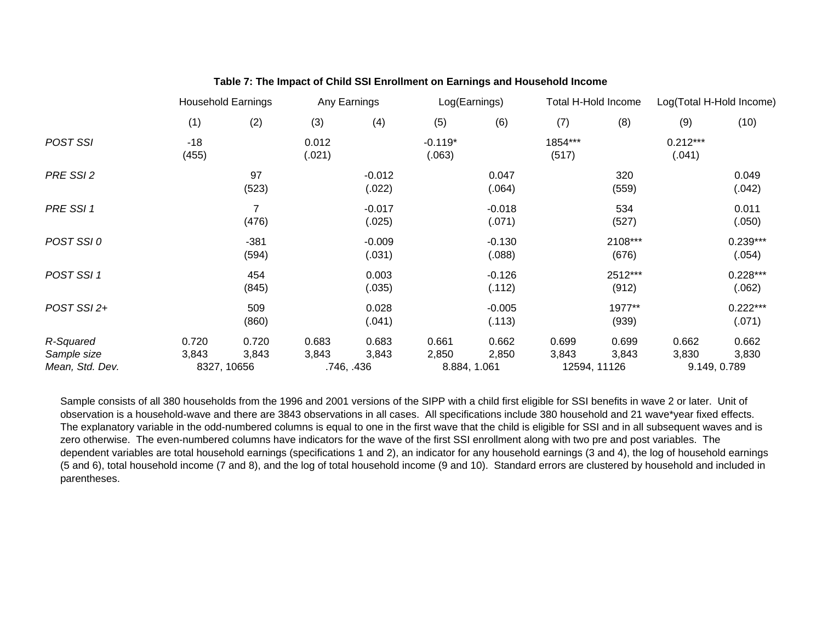|                                             |                | <b>Household Earnings</b> |                 | Any Earnings       | Log(Earnings)       |                                | <b>Total H-Hold Income</b> |                  | Log(Total H-Hold Income) |                      |
|---------------------------------------------|----------------|---------------------------|-----------------|--------------------|---------------------|--------------------------------|----------------------------|------------------|--------------------------|----------------------|
|                                             | (1)            | (2)                       | (3)             | (4)                | (5)                 | (6)                            | (7)                        | (8)              | (9)                      | (10)                 |
| POST SSI                                    | $-18$<br>(455) |                           | 0.012<br>(.021) |                    | $-0.119*$<br>(.063) |                                | 1854***<br>(517)           |                  | $0.212***$<br>(.041)     |                      |
| PRE SSI 2                                   |                | 97<br>(523)               |                 | $-0.012$<br>(.022) |                     | 0.047<br>(.064)                |                            | 320<br>(559)     |                          | 0.049<br>(.042)      |
| PRE SSI 1                                   |                | $\overline{7}$<br>(476)   |                 | $-0.017$<br>(.025) |                     | $-0.018$<br>(.071)             |                            | 534<br>(527)     |                          | 0.011<br>(.050)      |
| POST SSI0                                   |                | $-381$<br>(594)           |                 | $-0.009$<br>(.031) |                     | $-0.130$<br>(.088)             |                            | 2108***<br>(676) |                          | $0.239***$<br>(.054) |
| POST SSI 1                                  |                | 454<br>(845)              |                 | 0.003<br>(.035)    |                     | $-0.126$<br>(.112)             |                            | 2512***<br>(912) |                          | $0.228***$<br>(.062) |
| POST SSI 2+                                 |                | 509<br>(860)              |                 | 0.028<br>(.041)    |                     | $-0.005$<br>(.113)             |                            | 1977**<br>(939)  |                          | $0.222***$<br>(.071) |
| R-Squared<br>Sample size<br>Mean, Std. Dev. | 0.720<br>3,843 | 0.720<br>3,843            | 0.683<br>3,843  | 0.683<br>3,843     | 0.661<br>2,850      | 0.662<br>2,850<br>8.884, 1.061 | 0.699<br>3,843             | 0.699<br>3,843   | 0.662<br>3,830           | 0.662<br>3,830       |
|                                             | 8327, 10656    |                           |                 | .746, .436         |                     |                                | 12594, 11126               |                  | 9.149, 0.789             |                      |

# **Table 7: The Impact of Child SSI Enrollment on Earnings and Household Income**

Sample consists of all 380 households from the 1996 and 2001 versions of the SIPP with a child first eligible for SSI benefits in wave 2 or later. Unit of observation is a household-wave and there are 3843 observations in all cases. All specifications include 380 household and 21 wave\*year fixed effects. The explanatory variable in the odd-numbered columns is equal to one in the first wave that the child is eligible for SSI and in all subsequent waves and is zero otherwise. The even-numbered columns have indicators for the wave of the first SSI enrollment along with two pre and post variables. The dependent variables are total household earnings (specifications 1 and 2), an indicator for any household earnings (3 and 4), the log of household earnings (5 and 6), total household income (7 and 8), and the log of total household income (9 and 10). Standard errors are clustered by household and included in parentheses.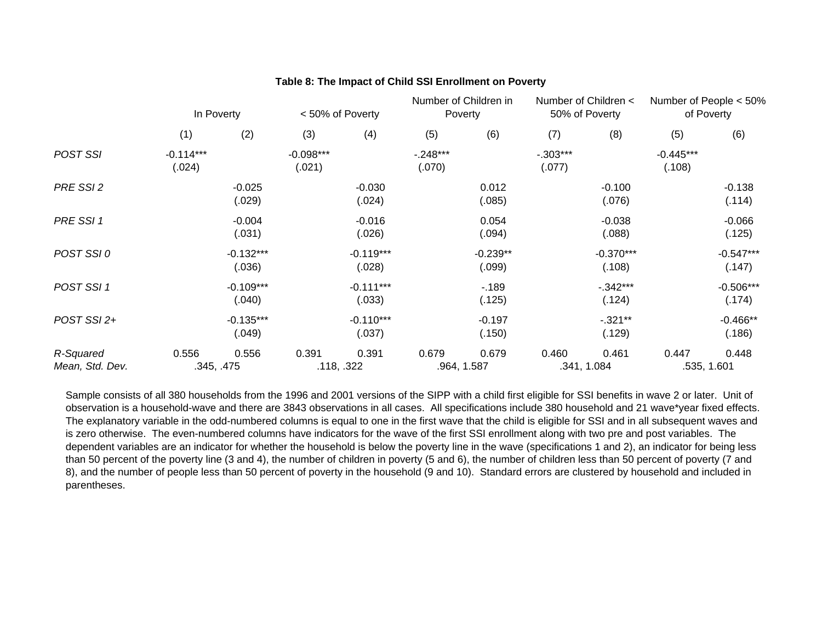|                              | In Poverty            |                       | < 50% of Poverty      |                       | Number of Children in<br>Poverty |                      | Number of Children <<br>50% of Poverty |                       | Number of People < 50%<br>of Poverty |                       |
|------------------------------|-----------------------|-----------------------|-----------------------|-----------------------|----------------------------------|----------------------|----------------------------------------|-----------------------|--------------------------------------|-----------------------|
|                              | (1)                   | (2)                   | (3)                   | (4)                   | (5)                              | (6)                  | (7)                                    | (8)                   | (5)                                  | (6)                   |
| <b>POST SSI</b>              | $-0.114***$<br>(.024) |                       | $-0.098***$<br>(.021) |                       | $-.248***$<br>(.070)             |                      | $-.303***$<br>(.077)                   |                       | $-0.445***$<br>(.108)                |                       |
| PRE SSI 2                    |                       | $-0.025$<br>(.029)    |                       | $-0.030$<br>(.024)    |                                  | 0.012<br>(.085)      |                                        | $-0.100$<br>(.076)    |                                      | $-0.138$<br>(.114)    |
| PRE SSI 1                    |                       | $-0.004$<br>(.031)    |                       | $-0.016$<br>(.026)    |                                  | 0.054<br>(.094)      |                                        | $-0.038$<br>(.088)    |                                      | $-0.066$<br>(.125)    |
| POST SSI0                    |                       | $-0.132***$<br>(.036) |                       | $-0.119***$<br>(.028) |                                  | $-0.239**$<br>(.099) |                                        | $-0.370***$<br>(.108) |                                      | $-0.547***$<br>(.147) |
| POST SSI 1                   |                       | $-0.109***$<br>(.040) |                       | $-0.111***$<br>(.033) |                                  | $-189$<br>(.125)     |                                        | $-.342***$<br>(.124)  |                                      | $-0.506***$<br>(.174) |
| POST SSI 2+                  |                       | $-0.135***$<br>(.049) |                       | $-0.110***$<br>(.037) |                                  | $-0.197$<br>(.150)   |                                        | $-0.321**$<br>(.129)  |                                      | $-0.466**$<br>(.186)  |
| R-Squared<br>Mean, Std. Dev. | 0.556                 | 0.556<br>.345, .475   | 0.391                 | 0.391<br>.118, .322   | 0.679                            | 0.679<br>.964, 1.587 | 0.460                                  | 0.461<br>.341, 1.084  | 0.447                                | 0.448<br>.535, 1.601  |

# **Table 8: The Impact of Child SSI Enrollment on Poverty**

Sample consists of all 380 households from the 1996 and 2001 versions of the SIPP with a child first eligible for SSI benefits in wave 2 or later. Unit of observation is a household-wave and there are 3843 observations in all cases. All specifications include 380 household and 21 wave\*year fixed effects. The explanatory variable in the odd-numbered columns is equal to one in the first wave that the child is eligible for SSI and in all subsequent waves and is zero otherwise. The even-numbered columns have indicators for the wave of the first SSI enrollment along with two pre and post variables. The dependent variables are an indicator for whether the household is below the poverty line in the wave (specifications 1 and 2), an indicator for being less than 50 percent of the poverty line (3 and 4), the number of children in poverty (5 and 6), the number of children less than 50 percent of poverty (7 and 8), and the number of people less than 50 percent of poverty in the household (9 and 10). Standard errors are clustered by household and included in parentheses.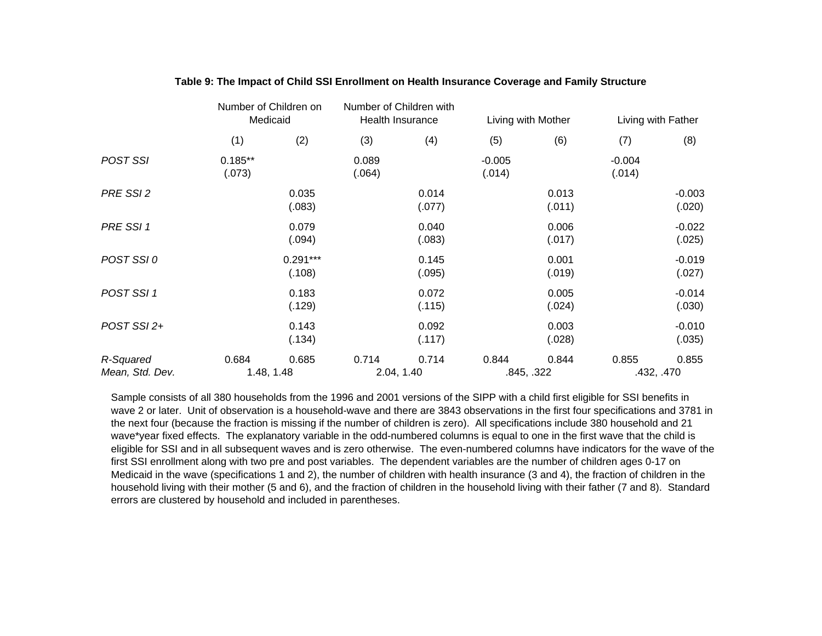|                              | Number of Children on<br>Medicaid |                      |                 | Number of Children with<br>Health Insurance |                    | Living with Mother  | Living with Father |                     |
|------------------------------|-----------------------------------|----------------------|-----------------|---------------------------------------------|--------------------|---------------------|--------------------|---------------------|
|                              | (1)                               | (2)                  | (3)             | (4)                                         | (5)                | (6)                 | (7)                | (8)                 |
| POST SSI                     | $0.185**$<br>(.073)               |                      | 0.089<br>(.064) |                                             | $-0.005$<br>(.014) |                     | $-0.004$<br>(.014) |                     |
| PRE SSI 2                    |                                   | 0.035<br>(.083)      |                 | 0.014<br>(.077)                             |                    | 0.013<br>(.011)     |                    | $-0.003$<br>(.020)  |
| PRE SSI 1                    |                                   | 0.079<br>(.094)      |                 | 0.040<br>(.083)                             |                    | 0.006<br>(.017)     |                    | $-0.022$<br>(.025)  |
| POST SSI 0                   |                                   | $0.291***$<br>(.108) |                 | 0.145<br>(.095)                             |                    | 0.001<br>(.019)     |                    | $-0.019$<br>(.027)  |
| POST SSI 1                   |                                   | 0.183<br>(.129)      |                 | 0.072<br>(.115)                             |                    | 0.005<br>(.024)     |                    | $-0.014$<br>(.030)  |
| POST SSI 2+                  |                                   | 0.143<br>(.134)      |                 | 0.092<br>(.117)                             |                    | 0.003<br>(.028)     |                    | $-0.010$<br>(.035)  |
| R-Squared<br>Mean, Std. Dev. | 0.684<br>1.48, 1.48               | 0.685                | 0.714           | 0.714<br>2.04, 1.40                         | 0.844              | 0.844<br>.845, .322 | 0.855              | 0.855<br>.432, .470 |

# **Table 9: The Impact of Child SSI Enrollment on Health Insurance Coverage and Family Structure**

Sample consists of all 380 households from the 1996 and 2001 versions of the SIPP with a child first eligible for SSI benefits in wave 2 or later. Unit of observation is a household-wave and there are 3843 observations in the first four specifications and 3781 in the next four (because the fraction is missing if the number of children is zero). All specifications include 380 household and 21 wave\*year fixed effects. The explanatory variable in the odd-numbered columns is equal to one in the first wave that the child is eligible for SSI and in all subsequent waves and is zero otherwise. The even-numbered columns have indicators for the wave of the first SSI enrollment along with two pre and post variables. The dependent variables are the number of children ages 0-17 on Medicaid in the wave (specifications 1 and 2), the number of children with health insurance (3 and 4), the fraction of children in the household living with their mother (5 and 6), and the fraction of children in the household living with their father (7 and 8). Standard errors are clustered by household and included in parentheses.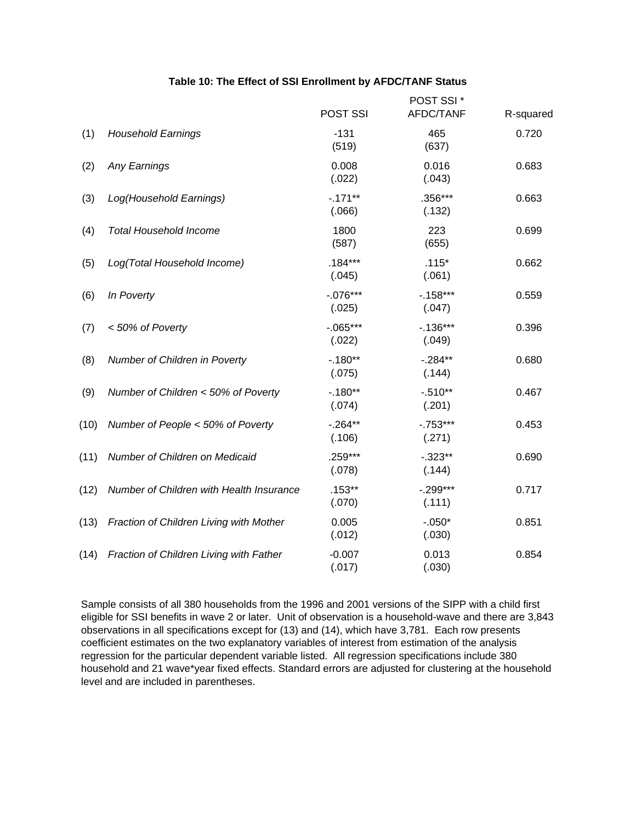# **Table 10: The Effect of SSI Enrollment by AFDC/TANF Status**

|      |                                          | POST SSI             | POST SSI *<br>AFDC/TANF | R-squared |
|------|------------------------------------------|----------------------|-------------------------|-----------|
| (1)  | <b>Household Earnings</b>                | $-131$<br>(519)      | 465<br>(637)            | 0.720     |
| (2)  | <b>Any Earnings</b>                      | 0.008<br>(.022)      | 0.016<br>(.043)         | 0.683     |
| (3)  | Log(Household Earnings)                  | $-0.171**$<br>(.066) | $.356***$<br>(.132)     | 0.663     |
| (4)  | <b>Total Household Income</b>            | 1800<br>(587)        | 223<br>(655)            | 0.699     |
| (5)  | Log(Total Household Income)              | $.184***$<br>(.045)  | $.115*$<br>(.061)       | 0.662     |
| (6)  | In Poverty                               | $-.076***$<br>(.025) | $-158***$<br>(.047)     | 0.559     |
| (7)  | < 50% of Poverty                         | $-.065***$<br>(.022) | $-0.136***$<br>(.049)   | 0.396     |
| (8)  | Number of Children in Poverty            | $-180**$<br>(.075)   | $-.284**$<br>(.144)     | 0.680     |
| (9)  | Number of Children < 50% of Poverty      | $-0.180**$<br>(.074) | $-.510**$<br>(.201)     | 0.467     |
| (10) | Number of People < 50% of Poverty        | $-.264**$<br>(.106)  | $-.753***$<br>(.271)    | 0.453     |
| (11) | Number of Children on Medicaid           | $.259***$<br>(.078)  | $-.323**$<br>(.144)     | 0.690     |
| (12) | Number of Children with Health Insurance | $.153**$<br>(.070)   | $-.299***$<br>(.111)    | 0.717     |
| (13) | Fraction of Children Living with Mother  | 0.005<br>(.012)      | $-.050*$<br>(.030)      | 0.851     |
| (14) | Fraction of Children Living with Father  | $-0.007$<br>(.017)   | 0.013<br>(.030)         | 0.854     |
|      |                                          |                      |                         |           |

Sample consists of all 380 households from the 1996 and 2001 versions of the SIPP with a child first eligible for SSI benefits in wave 2 or later. Unit of observation is a household-wave and there are 3,843 observations in all specifications except for (13) and (14), which have 3,781. Each row presents coefficient estimates on the two explanatory variables of interest from estimation of the analysis regression for the particular dependent variable listed. All regression specifications include 380 household and 21 wave\*year fixed effects. Standard errors are adjusted for clustering at the household level and are included in parentheses.